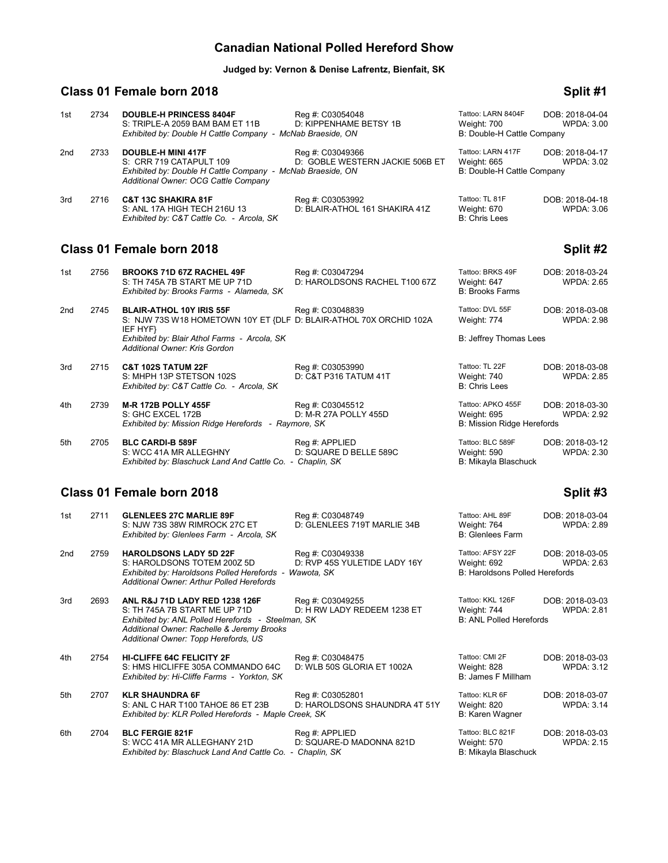# **Canadian National Polled Hereford Show**

**Judged by: Vernon & Denise Lafrentz, Bienfait, SK**

# **Class 01 Female born 2018 Split #1** Split #1

| 1st             | 2734 | <b>DOUBLE-H PRINCESS 8404F</b><br>S: TRIPLE-A 2059 BAM BAM ET 11B<br>Exhibited by: Double H Cattle Company - McNab Braeside, ON                                                                    | Reg #: C03054048<br>D: KIPPENHAME BETSY 1B          | Tattoo: LARN 8404F<br>Weight: 700<br>B: Double-H Cattle Company       | DOB: 2018-04-04<br><b>WPDA: 3.00</b> |
|-----------------|------|----------------------------------------------------------------------------------------------------------------------------------------------------------------------------------------------------|-----------------------------------------------------|-----------------------------------------------------------------------|--------------------------------------|
| 2nd             | 2733 | <b>DOUBLE-H MINI 417F</b><br>S: CRR 719 CATAPULT 109<br>Exhibited by: Double H Cattle Company - McNab Braeside, ON<br>Additional Owner: OCG Cattle Company                                         | Reg #: C03049366<br>D: GOBLE WESTERN JACKIE 506B ET | Tattoo: LARN 417F<br>Weight: 665<br>B: Double-H Cattle Company        | DOB: 2018-04-17<br><b>WPDA: 3.02</b> |
| 3rd             | 2716 | <b>C&amp;T 13C SHAKIRA 81F</b><br>S: ANL 17A HIGH TECH 216U 13<br>Exhibited by: C&T Cattle Co. - Arcola, SK                                                                                        | Reg #: C03053992<br>D: BLAIR-ATHOL 161 SHAKIRA 41Z  | Tattoo: TL 81F<br>Weight: 670<br><b>B: Chris Lees</b>                 | DOB: 2018-04-18<br>WPDA: 3.06        |
|                 |      | Class 01 Female born 2018                                                                                                                                                                          |                                                     |                                                                       | Split #2                             |
| 1st             | 2756 | <b>BROOKS 71D 67Z RACHEL 49F</b><br>S: TH 745A 7B START ME UP 71D<br>Exhibited by: Brooks Farms - Alameda, SK                                                                                      | Reg #: C03047294<br>D: HAROLDSONS RACHEL T100 67Z   | Tattoo: BRKS 49F<br>Weight: 647<br><b>B: Brooks Farms</b>             | DOB: 2018-03-24<br><b>WPDA: 2.65</b> |
| 2 <sub>nd</sub> | 2745 | <b>BLAIR-ATHOL 10Y IRIS 55F</b><br>S: NJW 73S W18 HOMETOWN 10Y ET {DLF D: BLAIR-ATHOL 70X ORCHID 102A<br>IEF HYF}<br>Exhibited by: Blair Athol Farms - Arcola, SK<br>Additional Owner: Kris Gordon | Reg #: C03048839                                    | Tattoo: DVL 55F<br>Weight: 774<br>B: Jeffrey Thomas Lees              | DOB: 2018-03-08<br><b>WPDA: 2.98</b> |
| 3rd             | 2715 | <b>C&amp;T 102S TATUM 22F</b><br>S: MHPH 13P STETSON 102S<br>Exhibited by: C&T Cattle Co. - Arcola, SK                                                                                             | Reg #: C03053990<br>D: C&T P316 TATUM 41T           | Tattoo: TL 22F<br>Weight: 740<br><b>B: Chris Lees</b>                 | DOB: 2018-03-08<br><b>WPDA: 2.85</b> |
| 4th             | 2739 | <b>M-R 172B POLLY 455F</b><br>S: GHC EXCEL 172B<br>Exhibited by: Mission Ridge Herefords - Raymore, SK                                                                                             | Reg #: C03045512<br>D: M-R 27A POLLY 455D           | Tattoo: APKO 455F<br>Weight: 695<br><b>B: Mission Ridge Herefords</b> | DOB: 2018-03-30<br><b>WPDA: 2.92</b> |
| 5th             | 2705 | <b>BLC CARDI-B 589F</b><br>S: WCC 41A MR ALLEGHNY<br>Exhibited by: Blaschuck Land And Cattle Co. - Chaplin, SK                                                                                     | Reg #: APPLIED<br>D: SQUARE D BELLE 589C            | Tattoo: BLC 589F<br>Weight: 590<br>B: Mikayla Blaschuck               | DOB: 2018-03-12<br><b>WPDA: 2.30</b> |
|                 |      | Class 01 Female born 2018                                                                                                                                                                          |                                                     |                                                                       | Split #3                             |
| 1st             | 2711 | <b>GLENLEES 27C MARLIE 89F</b><br>S: NJW 73S 38W RIMROCK 27C ET                                                                                                                                    | Reg #: C03048749<br>D: GLENLEES 719T MARLIE 34B     | Tattoo: AHL 89F<br>Weight: 764                                        | DOB: 2018-03-04<br><b>WPDA: 2.89</b> |

|     |      | S: NJW 73S 38W RIMROCK 27C ET<br>Exhibited by: Glenlees Farm - Arcola, SK                                                                                                                                  | D: GLENLEES 719T MARLIE 34B                       | Weight: 764<br><b>B: Glenlees Farm</b>                                   | <b>WPDA: 2.89</b>                    |
|-----|------|------------------------------------------------------------------------------------------------------------------------------------------------------------------------------------------------------------|---------------------------------------------------|--------------------------------------------------------------------------|--------------------------------------|
| 2nd | 2759 | <b>HAROLDSONS LADY 5D 22F</b><br>S: HAROLDSONS TOTEM 200Z 5D<br>Exhibited by: Haroldsons Polled Herefords - Wawota, SK<br>Additional Owner: Arthur Polled Herefords                                        | Reg #: C03049338<br>D: RVP 45S YULETIDE LADY 16Y  | Tattoo: AFSY 22F<br>Weight: 692<br><b>B: Haroldsons Polled Herefords</b> | DOB: 2018-03-05<br><b>WPDA: 2.63</b> |
| 3rd | 2693 | ANL R&J 71D LADY RED 1238 126F<br>S: TH 745A 7B START ME UP 71D<br>Exhibited by: ANL Polled Herefords - Steelman, SK<br>Additional Owner: Rachelle & Jeremy Brooks<br>Additional Owner: Topp Herefords, US | Reg #: C03049255<br>D: H RW LADY REDEEM 1238 ET   | Tattoo: KKL 126F<br>Weight: 744<br><b>B: ANL Polled Herefords</b>        | DOB: 2018-03-03<br>WPDA: 2.81        |
| 4th | 2754 | <b>HI-CLIFFE 64C FELICITY 2F</b><br>S: HMS HICLIFFE 305A COMMANDO 64C<br>Exhibited by: Hi-Cliffe Farms - Yorkton, SK                                                                                       | Reg #: C03048475<br>D: WLB 50S GLORIA ET 1002A    | Tattoo: CMI 2F<br>Weight: 828<br>B: James F Millham                      | DOB: 2018-03-03<br><b>WPDA: 3.12</b> |
| 5th | 2707 | <b>KLR SHAUNDRA 6F</b><br>S: ANL C HAR T100 TAHOE 86 ET 23B<br>Exhibited by: KLR Polled Herefords - Maple Creek, SK                                                                                        | Reg #: C03052801<br>D: HAROLDSONS SHAUNDRA 4T 51Y | Tattoo: KLR 6F<br>Weight: 820<br>B: Karen Wagner                         | DOB: 2018-03-07<br><b>WPDA: 3.14</b> |
| 6th | 2704 | <b>BLC FERGIE 821F</b><br>S: WCC 41A MR ALLEGHANY 21D<br>Exhibited by: Blaschuck Land And Cattle Co. - Chaplin, SK                                                                                         | Reg #: APPLIED<br>D: SQUARE-D MADONNA 821D        | Tattoo: BLC 821F<br>Weight: 570<br>B: Mikayla Blaschuck                  | DOB: 2018-03-03<br><b>WPDA: 2.15</b> |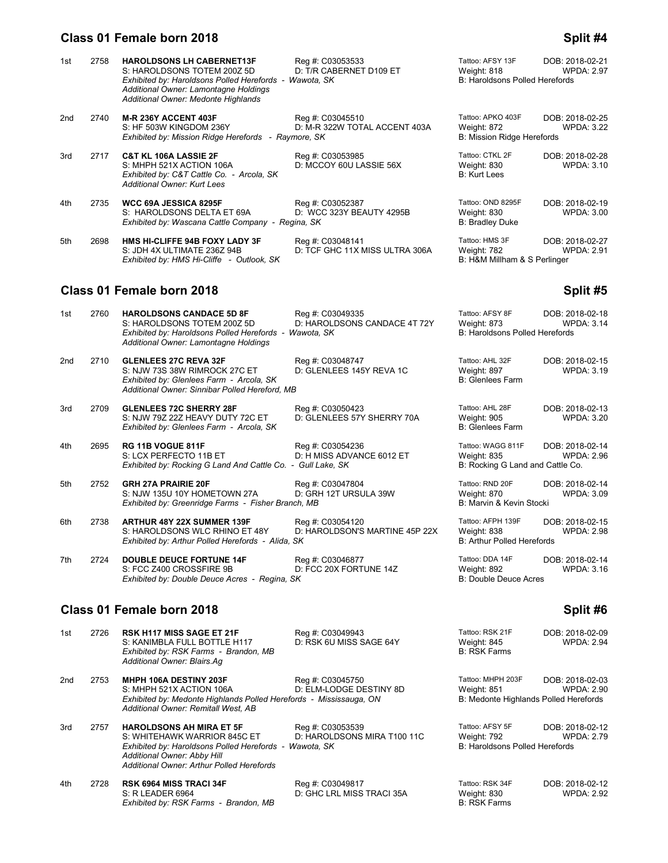## **Class 01 Female born 2018 Split #4**

| 1st | 2758 | <b>HAROLDSONS LH CABERNET13F</b><br>S: HAROLDSONS TOTEM 200Z 5D<br>Exhibited by: Haroldsons Polled Herefords - Wawota, SK                | Reg #: C03053533<br>D: T/R CABERNET D109 ET        | Tattoo: AFSY 13F<br>Weight: 818<br>B: Haroldsons Polled Herefords | DOB: 2018-02-21<br><b>WPDA: 2.97</b> |
|-----|------|------------------------------------------------------------------------------------------------------------------------------------------|----------------------------------------------------|-------------------------------------------------------------------|--------------------------------------|
|     |      | Additional Owner: Lamontagne Holdings<br>Additional Owner: Medonte Highlands                                                             |                                                    |                                                                   |                                      |
| 2nd | 2740 | <b>M-R 236Y ACCENT 403F</b><br>S: HF 503W KINGDOM 236Y<br>Exhibited by: Mission Ridge Herefords - Raymore, SK                            | Reg #: C03045510<br>D: M-R 322W TOTAL ACCENT 403A  | Tattoo: APKO 403F<br>Weight: 872<br>B: Mission Ridge Herefords    | DOB: 2018-02-25<br><b>WPDA: 3.22</b> |
| 3rd | 2717 | <b>C&amp;T KL 106A LASSIE 2F</b><br>S: MHPH 521X ACTION 106A<br>Exhibited by: C&T Cattle Co. - Arcola, SK<br>Additional Owner: Kurt Lees | Reg #: C03053985<br>D: MCCOY 60U LASSIE 56X        | Tattoo: CTKL 2F<br>Weight: 830<br><b>B: Kurt Lees</b>             | DOB: 2018-02-28<br><b>WPDA: 3.10</b> |
| 4th | 2735 | WCC 69A JESSICA 8295F<br>S: HAROLDSONS DELTA ET 69A<br>Exhibited by: Wascana Cattle Company - Regina, SK                                 | Reg #: C03052387<br>D: WCC 323Y BEAUTY 4295B       | Tattoo: OND 8295F<br>Weight: 830<br><b>B: Bradley Duke</b>        | DOB: 2018-02-19<br><b>WPDA: 3.00</b> |
| 5th | 2698 | <b>HMS HI-CLIFFE 94B FOXY LADY 3F</b><br>S: JDH 4X ULTIMATE 236Z 94B<br>Exhibited by: HMS Hi-Cliffe - Outlook, SK                        | Reg #: C03048141<br>D: TCF GHC 11X MISS ULTRA 306A | Tattoo: HMS 3F<br>Weight: 782<br>B: H&M Millham & S Perlinger     | DOB: 2018-02-27<br><b>WPDA: 2.91</b> |

# **Class 01 Female born 2018 Split #5** Split #5

| 1st             | 2760 | <b>HAROLDSONS CANDACE 5D 8F</b><br>S: HAROLDSONS TOTEM 200Z 5D<br>Exhibited by: Haroldsons Polled Herefords - Wawota, SK<br>Additional Owner: Lamontagne Holdings | Reg #: C03049335<br>D: HAROLDSONS CANDACE 4T 72Y   | Tattoo: AFSY 8F<br>Weight: 873<br><b>B: Haroldsons Polled Herefords</b> | DOB: 2018-02-18<br><b>WPDA: 3.14</b> |
|-----------------|------|-------------------------------------------------------------------------------------------------------------------------------------------------------------------|----------------------------------------------------|-------------------------------------------------------------------------|--------------------------------------|
| 2 <sub>nd</sub> | 2710 | <b>GLENLEES 27C REVA 32F</b><br>S: NJW 73S 38W RIMROCK 27C ET<br>Exhibited by: Glenlees Farm - Arcola, SK<br>Additional Owner: Sinnibar Polled Hereford, MB       | Reg #: C03048747<br>D: GLENLEES 145Y REVA 1C       | Tattoo: AHL 32F<br>Weight: 897<br><b>B: Glenlees Farm</b>               | DOB: 2018-02-15<br><b>WPDA: 3.19</b> |
| 3rd             | 2709 | <b>GLENLEES 72C SHERRY 28F</b><br>S: NJW 79Z 22Z HEAVY DUTY 72C ET<br>Exhibited by: Glenlees Farm - Arcola, SK                                                    | Reg #: C03050423<br>D: GLENLEES 57Y SHERRY 70A     | Tattoo: AHL 28F<br>Weight: 905<br><b>B: Glenlees Farm</b>               | DOB: 2018-02-13<br><b>WPDA: 3.20</b> |
| 4th             | 2695 | RG 11B VOGUE 811F<br>S: LCX PERFECTO 11B ET<br>Exhibited by: Rocking G Land And Cattle Co. - Gull Lake, SK                                                        | Reg #: C03054236<br>D: H MISS ADVANCE 6012 ET      | Tattoo: WAGG 811F<br>Weight: 835<br>B: Rocking G Land and Cattle Co.    | DOB: 2018-02-14<br><b>WPDA: 2.96</b> |
| 5th             | 2752 | <b>GRH 27A PRAIRIE 20F</b><br>S: NJW 135U 10Y HOMETOWN 27A<br>Exhibited by: Greenridge Farms - Fisher Branch, MB                                                  | Reg #: C03047804<br>D: GRH 12T URSULA 39W          | Tattoo: RND 20F<br>Weight: 870<br>B: Marvin & Kevin Stocki              | DOB: 2018-02-14<br><b>WPDA: 3.09</b> |
| 6th             | 2738 | <b>ARTHUR 48Y 22X SUMMER 139F</b><br>S: HAROLDSONS WLC RHINO ET 48Y<br>Exhibited by: Arthur Polled Herefords - Alida, SK                                          | Reg #: C03054120<br>D: HAROLDSON'S MARTINE 45P 22X | Tattoo: AFPH 139F<br>Weight: 838<br><b>B: Arthur Polled Herefords</b>   | DOB: 2018-02-15<br><b>WPDA: 2.98</b> |
| 7th             | 2724 | <b>DOUBLE DEUCE FORTUNE 14F</b><br>S: FCC Z400 CROSSFIRE 9B<br>Exhibited by: Double Deuce Acres - Regina, SK                                                      | Reg #: C03046877<br>D: FCC 20X FORTUNE 14Z         | Tattoo: DDA 14F<br>Weight: 892<br><b>B: Double Deuce Acres</b>          | DOB: 2018-02-14<br><b>WPDA: 3.16</b> |

# **Class 01 Female born 2018 Split #6 Split #6 Split #6 Split #6**

| 1st | 2726 | <b>RSK H117 MISS SAGE ET 21F</b><br>S: KANIMBLA FULL BOTTLE H117<br>Exhibited by: RSK Farms - Brandon, MB<br>Additional Owner: Blairs.Aq                                                              | Reg #: C03049943<br>D: RSK 6U MISS SAGE 64Y     | Tattoo: RSK 21F<br>Weight: 845<br><b>B: RSK Farms</b>            | DOB: 2018-02-09<br><b>WPDA: 2.94</b>                                          |
|-----|------|-------------------------------------------------------------------------------------------------------------------------------------------------------------------------------------------------------|-------------------------------------------------|------------------------------------------------------------------|-------------------------------------------------------------------------------|
| 2nd | 2753 | MHPH 106A DESTINY 203F<br>S: MHPH 521X ACTION 106A<br>Exhibited by: Medonte Highlands Polled Herefords - Mississauga, ON<br>Additional Owner: Remitall West, AB                                       | Reg #: C03045750<br>D: ELM-LODGE DESTINY 8D     | Tattoo: MHPH 203F<br>Weight: 851                                 | DOB: 2018-02-03<br><b>WPDA: 2.90</b><br>B: Medonte Highlands Polled Herefords |
| 3rd | 2757 | <b>HAROLDSONS AH MIRA ET 5F</b><br>S: WHITEHAWK WARRIOR 845C ET<br>Exhibited by: Haroldsons Polled Herefords - Wawota, SK<br>Additional Owner: Abby Hill<br>Additional Owner: Arthur Polled Herefords | Reg #: C03053539<br>D: HAROLDSONS MIRA T100 11C | Tattoo: AFSY 5F<br>Weight: 792<br>B: Haroldsons Polled Herefords | DOB: 2018-02-12<br><b>WPDA: 2.79</b>                                          |
| 4th | 2728 | <b>RSK 6964 MISS TRACI 34F</b><br>S: R LEADER 6964                                                                                                                                                    | Reg #: C03049817<br>D: GHC LRL MISS TRACI 35A   | Tattoo: RSK 34F<br>Weight: 830                                   | DOB: 2018-02-12<br><b>WPDA: 2.92</b>                                          |

*Exhibited by: RSK Farms - Brandon, MB* B: RSK Farms B: RSK Farms

| Fattoo: APKO 403F          | DOB: 2018-02-25   |
|----------------------------|-------------------|
| Neight: 872                | <b>WPDA: 3.22</b> |
| 3: Mission Ridge Herefords |                   |
|                            |                   |

| Weight: 873<br><b>B: Haroldsons Polled Herefords</b>                 | WPDA: $3.14$                         |
|----------------------------------------------------------------------|--------------------------------------|
| Tattoo: AHL 32F<br>Weight: 897<br><b>B: Glenlees Farm</b>            | DOB: 2018-02-15<br><b>WPDA: 3.19</b> |
| Tattoo: AHL 28F<br>Weight: 905<br><b>B: Glenlees Farm</b>            | DOB: 2018-02-13<br>WPDA: 3.20        |
| Tattoo: WAGG 811F<br>Weight: 835<br>B: Rocking G Land and Cattle Co. | DOB: 2018-02-14<br>WPDA: 2.96        |
| Tattoo: RND 20F<br>Weight: 870<br>B: Marvin & Kevin Stocki           | DOB: 2018-02-14<br>WPDA: 3.09        |
| Tattoo: AFPH 139F<br>Weight: 838<br>B: Arthur Polled Herefords       | DOB: 2018-02-15<br><b>WPDA: 2.98</b> |
| Tattoo: DDA 14F<br>Weight: 892                                       | DOB: 2018-02-14<br>WPDA: 3.16        |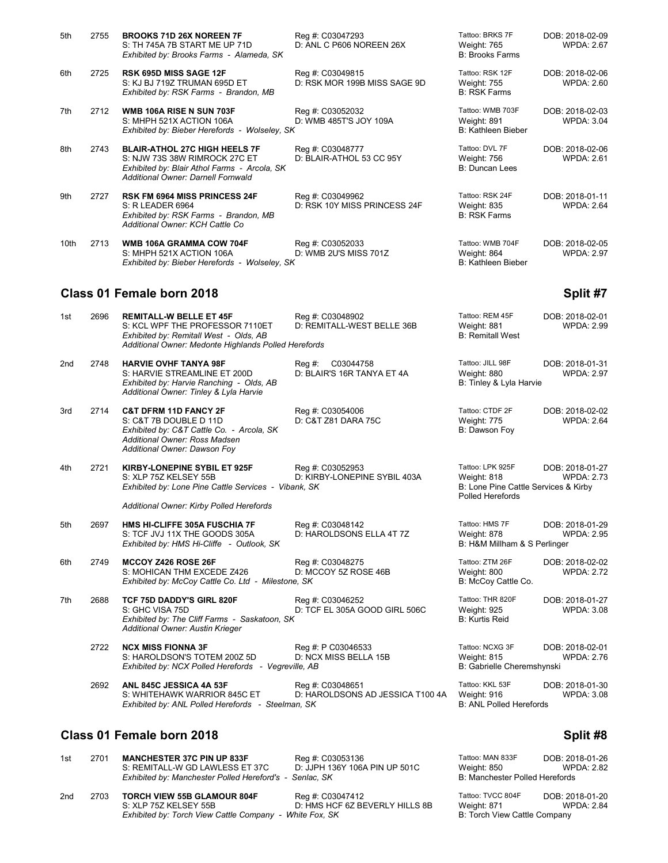| 5th  | 2755 | <b>BROOKS 71D 26X NOREEN 7F</b><br>S: TH 745A 7B START ME UP 71D<br>Exhibited by: Brooks Farms - Alameda, SK                                                | Reg #: C03047293<br>D: ANL C P606 NOREEN 26X     | Tattoo: BRKS 7F<br>Weight: 765<br><b>B: Brooks Farms</b>     | DOB: 2018-02-09<br><b>WPDA: 2.67</b> |
|------|------|-------------------------------------------------------------------------------------------------------------------------------------------------------------|--------------------------------------------------|--------------------------------------------------------------|--------------------------------------|
| 6th  | 2725 | <b>RSK 695D MISS SAGE 12F</b><br>S: KJ BJ 719Z TRUMAN 695D ET<br>Exhibited by: RSK Farms - Brandon, MB                                                      | Reg #: C03049815<br>D: RSK MOR 199B MISS SAGE 9D | Tattoo: RSK 12F<br><b>Weight: 755</b><br><b>B: RSK Farms</b> | DOB: 2018-02-06<br><b>WPDA: 2.60</b> |
| 7th  | 2712 | WMB 106A RISE N SUN 703F<br>S: MHPH 521X ACTION 106A<br>Exhibited by: Bieber Herefords - Wolseley, SK                                                       | Reg #: C03052032<br>D: WMB 485T'S JOY 109A       | Tattoo: WMB 703F<br>Weight: 891<br>B: Kathleen Bieber        | DOB: 2018-02-03<br><b>WPDA: 3.04</b> |
| 8th  | 2743 | <b>BLAIR-ATHOL 27C HIGH HEELS 7F</b><br>S: NJW 73S 38W RIMROCK 27C ET<br>Exhibited by: Blair Athol Farms - Arcola, SK<br>Additional Owner: Darnell Fornwald | Reg #: C03048777<br>D: BLAIR-ATHOL 53 CC 95Y     | Tattoo: DVL 7F<br>Weight: 756<br>B: Duncan Lees              | DOB: 2018-02-06<br><b>WPDA: 2.61</b> |
| 9th  | 2727 | <b>RSK FM 6964 MISS PRINCESS 24F</b><br>S: R LEADER 6964<br>Exhibited by: RSK Farms - Brandon, MB<br>Additional Owner: KCH Cattle Co                        | Reg #: C03049962<br>D: RSK 10Y MISS PRINCESS 24F | Tattoo: RSK 24F<br>Weight: 835<br><b>B: RSK Farms</b>        | DOB: 2018-01-11<br><b>WPDA: 2.64</b> |
| 10th | 2713 | WMB 106A GRAMMA COW 704F<br>S: MHPH 521X ACTION 106A<br>Exhibited by: Bieber Herefords - Wolseley, SK                                                       | Reg #: C03052033<br>D: WMB 2U'S MISS 701Z        | Tattoo: WMB 704F<br>Weight: 864<br>B: Kathleen Bieber        | DOB: 2018-02-05<br><b>WPDA: 2.97</b> |
|      |      |                                                                                                                                                             |                                                  |                                                              |                                      |

### **Class 01 Female born 2018 Split #7**

| 1st                                   | 2696 | <b>REMITALL-W BELLE ET 45F</b><br>S: KCL WPF THE PROFESSOR 7110ET<br>Exhibited by: Remitall West - Olds, AB<br>Additional Owner: Medonte Highlands Polled Herefords      | Reg #: C03048902<br>D: REMITALL-WEST BELLE 36B       | Tattoo: REM 45F<br>Weight: 881<br><b>B: Remitall West</b>                                          | DOB: 2018-02-01<br><b>WPDA: 2.99</b> |
|---------------------------------------|------|--------------------------------------------------------------------------------------------------------------------------------------------------------------------------|------------------------------------------------------|----------------------------------------------------------------------------------------------------|--------------------------------------|
| 2nd                                   | 2748 | <b>HARVIE OVHF TANYA 98F</b><br>S: HARVIE STREAMLINE ET 200D<br>Exhibited by: Harvie Ranching - Olds, AB<br>Additional Owner: Tinley & Lyla Harvie                       | Reg #: C03044758<br>D: BLAIR'S 16R TANYA ET 4A       | Tattoo: JILL 98F<br>Weight: 880<br>B: Tinley & Lyla Harvie                                         | DOB: 2018-01-31<br><b>WPDA: 2.97</b> |
| 3rd                                   | 2714 | <b>C&amp;T DFRM 11D FANCY 2F</b><br>S: C&T 7B DOUBLE D 11D<br>Exhibited by: C&T Cattle Co. - Arcola, SK<br>Additional Owner: Ross Madsen<br>Additional Owner: Dawson Foy | Reg #: C03054006<br>D: C&T Z81 DARA 75C              | Tattoo: CTDF 2F<br>Weight: 775<br>B: Dawson Foy                                                    | DOB: 2018-02-02<br><b>WPDA: 2.64</b> |
| 4th                                   | 2721 | KIRBY-LONEPINE SYBIL ET 925F<br>S: XLP 75Z KELSEY 55B<br>Exhibited by: Lone Pine Cattle Services - Vibank, SK<br>Additional Owner: Kirby Polled Herefords                | Reg #: C03052953<br>D: KIRBY-LONEPINE SYBIL 403A     | Tattoo: LPK 925F<br>Weight: 818<br>B: Lone Pine Cattle Services & Kirby<br><b>Polled Herefords</b> | DOB: 2018-01-27<br><b>WPDA: 2.73</b> |
| 5th                                   | 2697 | HMS HI-CLIFFE 305A FUSCHIA 7F<br>S: TCF JVJ 11X THE GOODS 305A<br>Exhibited by: HMS Hi-Cliffe - Outlook, SK                                                              | Reg #: C03048142<br>D: HAROLDSONS ELLA 4T 7Z         | Tattoo: HMS 7F<br>Weight: 878<br>B: H&M Millham & S Perlinger                                      | DOB: 2018-01-29<br><b>WPDA: 2.95</b> |
| 6th                                   | 2749 | MCCOY Z426 ROSE 26F<br>S: MOHICAN THM EXCEDE Z426<br>Exhibited by: McCoy Cattle Co. Ltd - Milestone, SK                                                                  | Reg #: C03048275<br>D: MCCOY 5Z ROSE 46B             | Tattoo: ZTM 26F<br>Weight: 800<br>B: McCoy Cattle Co.                                              | DOB: 2018-02-02<br><b>WPDA: 2.72</b> |
| 7th                                   | 2688 | <b>TCF 75D DADDY'S GIRL 820F</b><br>S: GHC VISA 75D<br>Exhibited by: The Cliff Farms - Saskatoon, SK<br>Additional Owner: Austin Krieger                                 | Reg #: C03046252<br>D: TCF EL 305A GOOD GIRL 506C    | Tattoo: THR 820F<br>Weight: 925<br><b>B: Kurtis Reid</b>                                           | DOB: 2018-01-27<br><b>WPDA: 3.08</b> |
|                                       | 2722 | <b>NCX MISS FIONNA 3F</b><br>S: HAROLDSON'S TOTEM 200Z 5D<br>Exhibited by: NCX Polled Herefords - Vegreville, AB                                                         | Reg #: P C03046533<br>D: NCX MISS BELLA 15B          | Tattoo: NCXG 3F<br>Weight: 815<br>B: Gabrielle Cheremshynski                                       | DOB: 2018-02-01<br><b>WPDA: 2.76</b> |
|                                       | 2692 | ANL 845C JESSICA 4A 53F<br>S: WHITEHAWK WARRIOR 845C ET<br>Exhibited by: ANL Polled Herefords - Steelman, SK                                                             | Reg #: C03048651<br>D: HAROLDSONS AD JESSICA T100 4A | Tattoo: KKL 53F<br>Weight: 916<br><b>B: ANL Polled Herefords</b>                                   | DOB: 2018-01-30<br><b>WPDA: 3.08</b> |
| Class 01 Female born 2018<br>Split #8 |      |                                                                                                                                                                          |                                                      |                                                                                                    |                                      |

# 1st 2701 **MANCHESTER 37C PIN UP 833F** Reg #: C03053136 S: REMITALL-W GD LAWLESS ET 37C D: JJPH 136Y 106A PIN UP 501C M<br>Exhibited by: Manchester Polled Hereford's - Senlac, SK B B S: REMITALL-W GD LAWLESS ET 37C

|     |      | Exhibited by: Manchester Polled Hereford's - Senlac, SK     |                                                    | B: Manchester Polled Herefords   |                                      |
|-----|------|-------------------------------------------------------------|----------------------------------------------------|----------------------------------|--------------------------------------|
| 2nd | 2703 | <b>TORCH VIEW 55B GLAMOUR 804F</b><br>S: XLP 75Z KELSEY 55B | Reg #: C03047412<br>D: HMS HCF 6Z BEVERLY HILLS 8B | Tattoo: TVCC 804F<br>Weight: 871 | DOB: 2018-01-20<br><b>WPDA: 2.84</b> |
|     |      | Exhibited by: Torch View Cattle Company - White Fox, SK     |                                                    | B: Torch View Cattle Company     |                                      |

| 「attoo: MAN 833F<br>DOB: 2018-01-26 |                   |
|-------------------------------------|-------------------|
| Veight: 850                         | <b>WPDA: 2.82</b> |
| 3: Manchester Polled Herefords      |                   |

**Exhibited by: Torch View Cattle Company**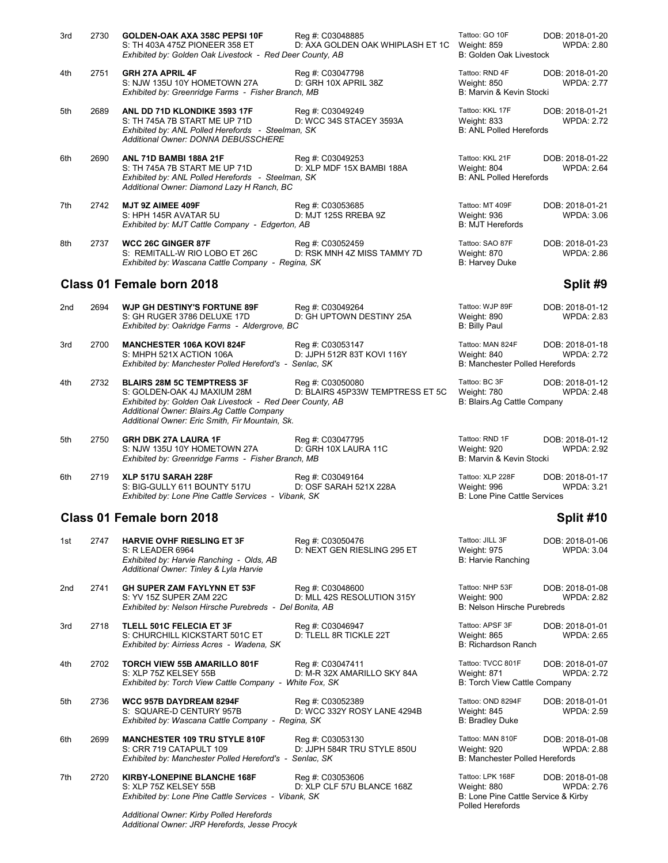| 3rd | 2730 | <b>GOLDEN-OAK AXA 358C PEPSI 10F</b><br>S: TH 403A 475Z PIONEER 358 ET<br>Exhibited by: Golden Oak Livestock - Red Deer County, AB                                | Reg #: C03048885<br>D: AXA GOLDEN OAK WHIPLASH ET 1C | Tattoo: GO 10F<br>Weight: 859<br><b>B: Golden Oak Livestock</b>  | DOB: 2018-01-20<br><b>WPDA: 2.80</b> |
|-----|------|-------------------------------------------------------------------------------------------------------------------------------------------------------------------|------------------------------------------------------|------------------------------------------------------------------|--------------------------------------|
| 4th | 2751 | <b>GRH 27A APRIL 4F</b><br>S: NJW 135U 10Y HOMETOWN 27A<br>Exhibited by: Greenridge Farms - Fisher Branch, MB                                                     | Reg #: C03047798<br>D: GRH 10X APRIL 38Z             | Tattoo: RND 4F<br>Weight: 850<br>B: Marvin & Kevin Stocki        | DOB: 2018-01-20<br><b>WPDA: 2.77</b> |
| 5th | 2689 | ANL DD 71D KLONDIKE 3593 17F<br>S: TH 745A 7B START ME UP 71D<br>Exhibited by: ANL Polled Herefords - Steelman, SK<br><b>Additional Owner: DONNA DEBUSSCHERE</b>  | Reg #: C03049249<br>D: WCC 34S STACEY 3593A          | Tattoo: KKL 17F<br>Weight: 833<br><b>B: ANL Polled Herefords</b> | DOB: 2018-01-21<br><b>WPDA: 2.72</b> |
| 6th | 2690 | <b>ANL 71D BAMBI 188A 21F</b><br>S: TH 745A 7B START ME UP 71D<br>Exhibited by: ANL Polled Herefords - Steelman, SK<br>Additional Owner: Diamond Lazy H Ranch, BC | Reg #: C03049253<br>D: XLP MDF 15X BAMBI 188A        | Tattoo: KKL 21F<br>Weight: 804<br><b>B: ANL Polled Herefords</b> | DOB: 2018-01-22<br><b>WPDA: 2.64</b> |
| 7th | 2742 | MJT 9Z AIMEE 409F<br>S: HPH 145R AVATAR 5U<br>Exhibited by: MJT Cattle Company - Edgerton, AB                                                                     | Reg #: C03053685<br>D: MJT 125S RREBA 9Z             | Tattoo: MT 409F<br>Weight: 936<br><b>B: MJT Herefords</b>        | DOB: 2018-01-21<br>WPDA: 3.06        |
| 8th | 2737 | <b>WCC 26C GINGER 87F</b><br>S: REMITALL-W RIO LOBO ET 26C<br>Exhibited by: Wascana Cattle Company - Regina, SK                                                   | Reg #: C03052459<br>D: RSK MNH 4Z MISS TAMMY 7D      | Tattoo: SAO 87F<br>Weight: 870<br>B: Harvey Duke                 | DOB: 2018-01-23<br>WPDA: 2.86        |

## **Class 01 Female born 2018 Split #9**

| 2nd | 2694                                                    | <b>WJP GH DESTINY'S FORTUNE 89F</b>           | Reg #: C03049264           | Tattoo: WJP 89F                | DOB: 2018-01-12 |
|-----|---------------------------------------------------------|-----------------------------------------------|----------------------------|--------------------------------|-----------------|
|     |                                                         | S: GH RUGER 3786 DELUXE 17D                   | D: GH UPTOWN DESTINY 25A   | Weight: 890                    | WPDA: 2.83      |
|     |                                                         | Exhibited by: Oakridge Farms - Aldergrove, BC |                            | B: Billy Paul                  |                 |
| 3rd | 2700                                                    | <b>MANCHESTER 106A KOVI 824F</b>              | Reg #: C03053147           | Tattoo: MAN 824F               | DOB: 2018-01-18 |
|     |                                                         | S: MHPH 521X ACTION 106A                      | D: JJPH 512R 83T KOVI 116Y | Weight: 840                    | WPDA: 2.72      |
|     | Exhibited by: Manchester Polled Hereford's - Senlac, SK |                                               |                            | B: Manchester Polled Herefords |                 |

| 4th | 2732 | <b>BLAIRS 28M 5C TEMPTRESS 3F</b><br>S: GOLDEN-OAK 4J MAXIUM 28M | Reg #: C03050080<br>D: BLAIRS 45P33W TEMPTRESS ET 5C | Tattoo: BC 3F<br>Weight: 780 | DOB: 2018-01-12<br><b>WPDA: 2.48</b> |
|-----|------|------------------------------------------------------------------|------------------------------------------------------|------------------------------|--------------------------------------|
|     |      | Exhibited by: Golden Oak Livestock - Red Deer County, AB         |                                                      | B: Blairs.Ag Cattle Company  |                                      |
|     |      | Additional Owner: Blairs.Ag Cattle Company                       |                                                      |                              |                                      |
|     |      | Additional Owner: Eric Smith, Fir Mountain, Sk.                  |                                                      |                              |                                      |

5th 2750 **GRH DBK 27A LAURA 1F** Reg #: C03047795 Tattoo: RND 1F DOB: 2018-01-12<br>S: NJW 135U 10Y HOMETOWN 27A D: GRH 10X LAURA 11C Weight: 920 WPDA: 2.92 S: NJW 135U 10Y HOMETOWN 27A D: GRH 10X LAURA 11C Weight: 920<br>
Exhibited by: Greenridge Farms - Fisher Branch, MB BL Marvin & Kevin Stocki *Exhibited by: Greenridge Farms - Fisher Branch, MB* 

6th 2719 **XLP 517U SARAH 228F** Reg #: C03049164 Tattoo: XLP 228F DOB: 2018-01-17<br>S: BIG-GULLY 611 BOUNTY 517U D: OSF SARAH 521X 228A Weight: 996 WPDA: 3.21 S: BIG-GULLY 611 BOUNTY 517U D: OSF SARAH 521X 228A Weight: 996 Weight: 996 Weight: 3.21X 228A Weight: 3.21X 228A Weight: 3.21X 228A Weight: 3.21X 228A Weight: 3.21X 228A B: Lone Pine Cattle Services - Vibank, SK **Exhibited by: Lone Pine Cattle Services - Vibank, SK** 

*Additional Owner: JRP Herefords, Jesse Procyk*

## **Class 01 Female born 2018 Split #10**

| 1st             | 2747 | <b>HARVIE OVHF RIESLING ET 3F</b><br>S: R LEADER 6964<br>Exhibited by: Harvie Ranching - Olds, AB<br>Additional Owner: Tinley & Lyla Harvie | Reg #: C03050476<br>D: NEXT GEN RIESLING 295 ET | Tattoo: JILL 3F<br>Weight: 975<br>B: Harvie Ranching                                              | DOB: 2018-01-06<br><b>WPDA: 3.04</b> |
|-----------------|------|---------------------------------------------------------------------------------------------------------------------------------------------|-------------------------------------------------|---------------------------------------------------------------------------------------------------|--------------------------------------|
| 2 <sub>nd</sub> | 2741 | <b>GH SUPER ZAM FAYLYNN ET 53F</b><br>S: YV 15Z SUPER ZAM 22C<br>Exhibited by: Nelson Hirsche Purebreds - Del Bonita, AB                    | Reg #: C03048600<br>D: MLL 42S RESOLUTION 315Y  | Tattoo: NHP 53F<br>Weight: 900<br><b>B: Nelson Hirsche Purebreds</b>                              | DOB: 2018-01-08<br><b>WPDA: 2.82</b> |
| 3rd             | 2718 | TLELL 501C FELECIA ET 3F<br>S: CHURCHILL KICKSTART 501C ET<br>Exhibited by: Airriess Acres - Wadena, SK                                     | Reg #: C03046947<br>D: TLELL 8R TICKLE 22T      | Tattoo: APSF 3F<br>Weight: 865<br>B: Richardson Ranch                                             | DOB: 2018-01-01<br><b>WPDA: 2.65</b> |
| 4th             | 2702 | <b>TORCH VIEW 55B AMARILLO 801F</b><br>S: XLP 75Z KELSEY 55B<br>Exhibited by: Torch View Cattle Company - White Fox, SK                     | Reg #: C03047411<br>D: M-R 32X AMARILLO SKY 84A | Tattoo: TVCC 801F<br>Weight: 871<br>B: Torch View Cattle Company                                  | DOB: 2018-01-07<br><b>WPDA: 2.72</b> |
| 5th             | 2736 | <b>WCC 957B DAYDREAM 8294F</b><br>S: SQUARE-D CENTURY 957B<br>Exhibited by: Wascana Cattle Company - Regina, SK                             | Reg #: C03052389<br>D: WCC 332Y ROSY LANE 4294B | Tattoo: OND 8294F<br>Weight: 845<br><b>B: Bradley Duke</b>                                        | DOB: 2018-01-01<br><b>WPDA: 2.59</b> |
| 6th             | 2699 | <b>MANCHESTER 109 TRU STYLE 810F</b><br>S: CRR 719 CATAPULT 109<br>Exhibited by: Manchester Polled Hereford's - Senlac, SK                  | Reg #: C03053130<br>D: JJPH 584R TRU STYLE 850U | Tattoo: MAN 810F<br>Weight: 920<br><b>B: Manchester Polled Herefords</b>                          | DOB: 2018-01-08<br><b>WPDA: 2.88</b> |
| 7th             | 2720 | KIRBY-LONEPINE BLANCHE 168F<br>S: XLP 75Z KELSEY 55B<br>Exhibited by: Lone Pine Cattle Services - Vibank, SK                                | Reg #: C03053606<br>D: XLP CLF 57U BLANCE 168Z  | Tattoo: LPK 168F<br>Weight: 880<br>B: Lone Pine Cattle Service & Kirby<br><b>Polled Herefords</b> | DOB: 2018-01-08<br><b>WPDA: 2.76</b> |
|                 |      | Additional Owner: Kirby Polled Herefords                                                                                                    |                                                 |                                                                                                   |                                      |

| Tattoo: JILL 3F<br>Weight: 975<br>B: Harvie Ranching                 | DOB: 2018-01-06<br><b>WPDA: 3.04</b>                                          |
|----------------------------------------------------------------------|-------------------------------------------------------------------------------|
| Tattoo: NHP 53F<br>Weight: 900<br><b>B: Nelson Hirsche Purebreds</b> | DOB: 2018-01-08<br><b>WPDA: 2.82</b>                                          |
| Tattoo: APSF 3F<br>Weight: 865<br><b>B: Richardson Ranch</b>         | DOB: 2018-01-01<br><b>WPDA: 2.65</b>                                          |
| Tattoo: TVCC 801F<br>Weight: 871                                     | DOB: 2018-01-07<br><b>WPDA: 2.72</b><br>B: Torch View Cattle Company          |
| Tattoo: OND 8294F<br>Weight: 845<br><b>B: Bradley Duke</b>           | DOB: 2018-01-01<br><b>WPDA: 2.59</b>                                          |
| Tattoo: MAN 810F<br>Weight: 920                                      | DOB: 2018-01-08<br><b>WPDA: 2.88</b><br><b>B: Manchester Polled Herefords</b> |
| Tattoo: LPK 168F<br>Weight: 880                                      | DOB: 2018-01-08<br><b>WPDA: 2.76</b><br>B: Lone Pine Cattle Service & Kirby   |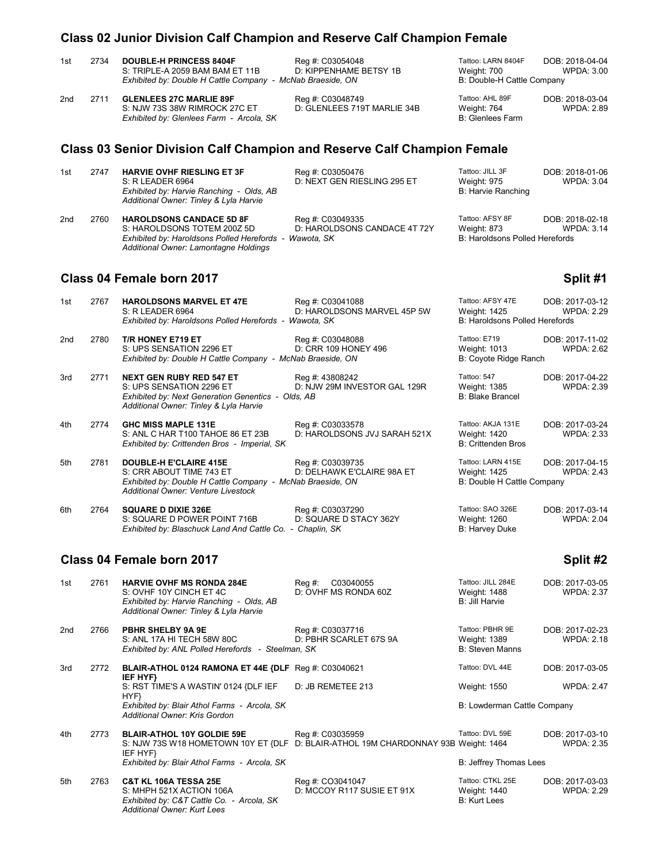# **Class 02 Junior Division Calf Champion and Reserve Calf Champion Female**

| 1st | 2734 | <b>DOUBLE-H PRINCESS 8404F</b><br>S: TRIPLE-A 2059 BAM BAM ET 11B<br>Exhibited by: Double H Cattle Company - McNab Braeside, ON | Reg #: C03054048<br>D: KIPPENHAME BETSY 1B      | Tattoo: LARN 8404F<br>Weight: 700<br>B: Double-H Cattle Company | DOB: 2018-04-04<br><b>WPDA: 3.00</b> |
|-----|------|---------------------------------------------------------------------------------------------------------------------------------|-------------------------------------------------|-----------------------------------------------------------------|--------------------------------------|
| 2nd | 2711 | <b>GLENLEES 27C MARLIE 89F</b><br>S: NJW 73S 38W RIMROCK 27C ET<br>Exhibited by: Glenlees Farm - Arcola, SK                     | Reg #: C03048749<br>D: GLENLEES 719T MARLIE 34B | Tattoo: AHL 89F<br>Weight: 764<br><b>B:</b> Glenlees Farm       | DOB: 2018-03-04<br><b>WPDA: 2.89</b> |
|     |      | <b>Class 03 Senior Division Calf Champion and Reserve Calf Champion Female</b>                                                  |                                                 |                                                                 |                                      |

| 1st | 2747 | <b>HARVIE OVHF RIESLING ET 3F</b>                      | Reg #: C03050476             | Tattoo: JILL 3F                | DOB: 2018-01-06 |
|-----|------|--------------------------------------------------------|------------------------------|--------------------------------|-----------------|
|     |      | S: R LEADER 6964                                       | D: NEXT GEN RIESLING 295 ET  | Weight: 975                    | WPDA: 3.04      |
|     |      | Exhibited by: Harvie Ranching - Olds, AB               |                              | B: Harvie Ranching             |                 |
|     |      | Additional Owner: Tinley & Lyla Harvie                 |                              |                                |                 |
| 2nd | 2760 | <b>HAROLDSONS CANDACE 5D 8F</b>                        | Reg #: C03049335             | Tattoo: AFSY 8F                | DOB: 2018-02-18 |
|     |      | S: HAROLDSONS TOTEM 200Z 5D                            | D: HAROLDSONS CANDACE 4T 72Y | Weight: 873                    | WPDA: 3.14      |
|     |      | Exhibited by: Haroldsons Polled Herefords - Wawota, SK |                              | B: Haroldsons Polled Herefords |                 |

# **Class 04 Female born 2017 Split #1 Split #1 Split #1**

*Additional Owner: Lamontagne Holdings*

| 1st             | 2767 | <b>HAROLDSONS MARVEL ET 47E</b><br>S: R LEADER 6964<br>Exhibited by: Haroldsons Polled Herefords - Wawota, SK                                               | Reg #: C03041088<br>D: HAROLDSONS MARVEL 45P 5W                      | Tattoo: AFSY 47E<br>Weight: 1425<br><b>B: Haroldsons Polled Herefords</b> | DOB: 2017-03-12<br><b>WPDA: 2.29</b> |
|-----------------|------|-------------------------------------------------------------------------------------------------------------------------------------------------------------|----------------------------------------------------------------------|---------------------------------------------------------------------------|--------------------------------------|
| 2 <sub>nd</sub> | 2780 | T/R HONEY E719 ET<br>S: UPS SENSATION 2296 ET<br>Exhibited by: Double H Cattle Company - McNab Braeside, ON                                                 | Reg #: C03048088<br>D: CRR 109 HONEY 496                             | Tattoo: E719<br>Weight: 1013<br>B: Coyote Ridge Ranch                     | DOB: 2017-11-02<br><b>WPDA: 2.62</b> |
| 3rd             | 2771 | <b>NEXT GEN RUBY RED 547 ET</b><br>S: UPS SENSATION 2296 ET<br>Exhibited by: Next Generation Genentics - Olds, AB<br>Additional Owner: Tinley & Lyla Harvie | Reg #: 43808242<br>D: NJW 29M INVESTOR GAL 129R                      | Tattoo: 547<br>Weight: 1385<br><b>B: Blake Brancel</b>                    | DOB: 2017-04-22<br><b>WPDA: 2.39</b> |
| 4th             | 2774 | <b>GHC MISS MAPLE 131E</b><br>S: ANL C HAR T100 TAHOE 86 ET 23B<br>Exhibited by: Crittenden Bros - Imperial, SK                                             | Reg #: C03033578<br>D: HAROLDSONS JVJ SARAH 521X                     | Tattoo: AKJA 131E<br>Weight: 1420<br><b>B: Crittenden Bros</b>            | DOB: 2017-03-24<br><b>WPDA: 2.33</b> |
| 5th             | 2781 | <b>DOUBLE-H E'CLAIRE 415E</b><br>S: CRR ABOUT TIME 743 ET<br>Exhibited by: Double H Cattle Company -<br>Additional Owner: Venture Livestock                 | Reg #: C03039735<br>D: DELHAWK E'CLAIRE 98A ET<br>McNab Braeside, ON | Tattoo: LARN 415E<br>Weight: 1425<br>B: Double H Cattle Company           | DOB: 2017-04-15<br><b>WPDA: 2.43</b> |
| 6th             | 2764 | <b>SQUARE D DIXIE 326E</b><br>S: SQUARE D POWER POINT 716B<br>Exhibited by: Blaschuck Land And Cattle Co. - Chaplin, SK                                     | Reg #: C03037290<br>D: SQUARE D STACY 362Y                           | Tattoo: SAO 326E<br>Weight: 1260<br>B: Harvey Duke                        | DOB: 2017-03-14<br><b>WPDA: 2.04</b> |

# **Class 04 Female born 2017 Split #2 Split #2**

| 1st | 2761 | <b>HARVIE OVHF MS RONDA 284E</b><br>S: OVHF 10Y CINCH ET 4C<br>Exhibited by: Harvie Ranching - Olds, AB<br>Additional Owner: Tinley & Lyla Harvie | C03040055<br>Reg #:<br>D: OVHF MS RONDA 60Z    | Tattoo: JILL 284E<br><b>Weight: 1488</b><br>B: Jill Harvie | DOB: 2017-03-05<br><b>WPDA: 2.37</b> |
|-----|------|---------------------------------------------------------------------------------------------------------------------------------------------------|------------------------------------------------|------------------------------------------------------------|--------------------------------------|
| 2nd | 2766 | <b>PBHR SHELBY 9A 9E</b><br>S: ANL 17A HI TECH 58W 80C<br>Exhibited by: ANL Polled Herefords - Steelman, SK                                       | Reg #: C03037716<br>D: PBHR SCARLET 67S 9A     | Tattoo: PBHR 9E<br>Weight: 1389<br><b>B: Steven Manns</b>  | DOB: 2017-02-23<br><b>WPDA: 2.18</b> |
| 3rd | 2772 | BLAIR-ATHOL 0124 RAMONA ET 44E {DLF Reg #: C03040621                                                                                              |                                                | Tattoo: DVL 44E                                            | DOB: 2017-03-05                      |
|     |      | IEF HYF}<br>S: RST TIME'S A WASTIN' 0124 {DLF IEF                                                                                                 | D: JB REMETEE 213                              | Weight: 1550                                               | <b>WPDA: 2.47</b>                    |
|     |      | HYF}<br>Exhibited by: Blair Athol Farms - Arcola, SK<br>Additional Owner: Kris Gordon                                                             |                                                | B: Lowderman Cattle Company                                |                                      |
| 4th | 2773 | <b>BLAIR-ATHOL 10Y GOLDIE 59E</b><br>S: NJW 73S W18 HOMETOWN 10Y ET {DLF D: BLAIR-ATHOL 19M CHARDONNAY 93B Weight: 1464<br>IEF HYF}               | Reg #: C03035959                               | Tattoo: DVL 59E                                            | DOB: 2017-03-10<br><b>WPDA: 2.35</b> |
|     |      | Exhibited by: Blair Athol Farms - Arcola, SK                                                                                                      |                                                | B: Jeffrey Thomas Lees                                     |                                      |
| 5th | 2763 | <b>C&amp;T KL 106A TESSA 25E</b><br>S: MHPH 521X ACTION 106A<br>Exhibited by: C&T Cattle Co. - Arcola, SK<br>Additional Owner: Kurt Lees          | Reg #: CO3041047<br>D: MCCOY R117 SUSIE ET 91X | Tattoo: CTKL 25E<br>Weight: 1440<br><b>B: Kurt Lees</b>    | DOB: 2017-03-03<br><b>WPDA: 2.29</b> |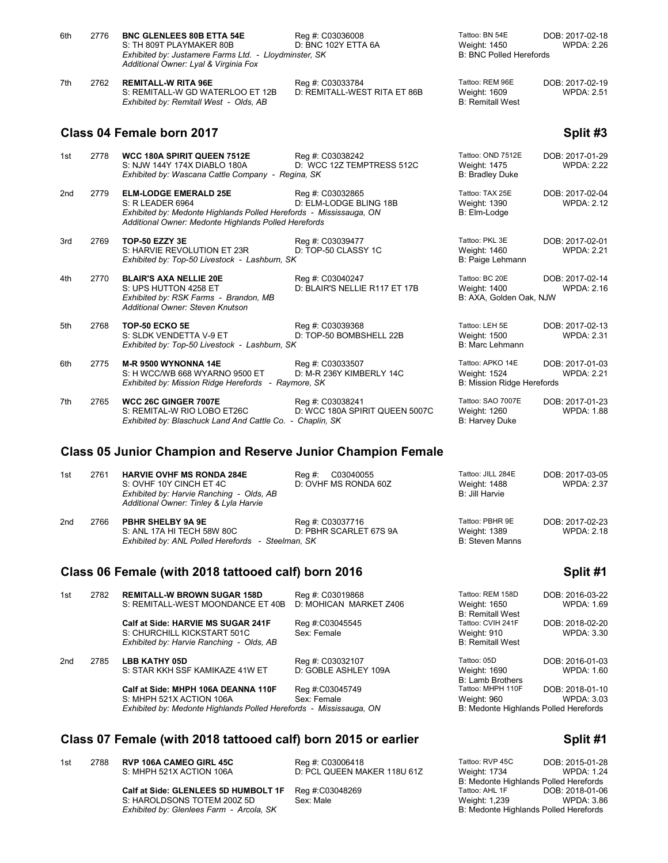| 6th | 2776 | <b>BNC GLENLEES 80B ETTA 54E</b><br>S: TH 809T PLAYMAKER 80B<br>Exhibited by: Justamere Farms Ltd. - Lloydminster, SK<br>Additional Owner: Lyal & Virginia Fox                 | Reg #: C03036008<br>D: BNC 102Y ETTA 6A            | Tattoo: BN 54E<br>Weight: 1450<br><b>B: BNC Polled Herefords</b>      | DOB: 2017-02-18<br><b>WPDA: 2.26</b> |
|-----|------|--------------------------------------------------------------------------------------------------------------------------------------------------------------------------------|----------------------------------------------------|-----------------------------------------------------------------------|--------------------------------------|
| 7th | 2762 | <b>REMITALL-W RITA 96E</b><br>S: REMITALL-W GD WATERLOO ET 12B<br>Exhibited by: Remitall West - Olds, AB                                                                       | Reg #: C03033784<br>D: REMITALL-WEST RITA ET 86B   | Tattoo: REM 96E<br>Weight: 1609<br><b>B: Remitall West</b>            | DOB: 2017-02-19<br><b>WPDA: 2.51</b> |
|     |      | Class 04 Female born 2017                                                                                                                                                      |                                                    |                                                                       | Split #3                             |
| 1st | 2778 | <b>WCC 180A SPIRIT QUEEN 7512E</b><br>S: NJW 144Y 174X DIABLO 180A<br>Exhibited by: Wascana Cattle Company - Regina, SK                                                        | Reg #: C03038242<br>D: WCC 12Z TEMPTRESS 512C      | Tattoo: OND 7512E<br><b>Weight: 1475</b><br><b>B: Bradley Duke</b>    | DOB: 2017-01-29<br><b>WPDA: 2.22</b> |
| 2nd | 2779 | <b>ELM-LODGE EMERALD 25E</b><br>S: R LEADER 6964<br>Exhibited by: Medonte Highlands Polled Herefords - Mississauga, ON<br>Additional Owner: Medonte Highlands Polled Herefords | Reg #: C03032865<br>D: ELM-LODGE BLING 18B         | Tattoo: TAX 25E<br>Weight: 1390<br>B: Elm-Lodge                       | DOB: 2017-02-04<br><b>WPDA: 2.12</b> |
| 3rd | 2769 | TOP-50 EZZY 3E<br>S: HARVIE REVOLUTION ET 23R<br>Exhibited by: Top-50 Livestock - Lashburn, SK                                                                                 | Reg #: C03039477<br>D: TOP-50 CLASSY 1C            | Tattoo: PKL 3E<br>Weight: 1460<br>B: Paige Lehmann                    | DOB: 2017-02-01<br>WPDA: 2.21        |
| 4th | 2770 | <b>BLAIR'S AXA NELLIE 20E</b><br>S: UPS HUTTON 4258 ET<br>Exhibited by: RSK Farms - Brandon, MB<br>Additional Owner: Steven Knutson                                            | Reg #: C03040247<br>D: BLAIR'S NELLIE R117 ET 17B  | Tattoo: BC 20E<br>Weight: 1400<br>B: AXA, Golden Oak, NJW             | DOB: 2017-02-14<br><b>WPDA: 2.16</b> |
| 5th | 2768 | TOP-50 ECKO 5E<br>S: SLDK VENDETTA V-9 ET<br>Exhibited by: Top-50 Livestock - Lashburn, SK                                                                                     | Reg #: C03039368<br>D: TOP-50 BOMBSHELL 22B        | Tattoo: LEH 5E<br>Weight: 1500<br>B: Marc Lehmann                     | DOB: 2017-02-13<br><b>WPDA: 2.31</b> |
| 6th | 2775 | <b>M-R 9500 WYNONNA 14E</b><br>S: H WCC/WB 668 WYARNO 9500 ET<br>Exhibited by: Mission Ridge Herefords - Raymore, SK                                                           | Reg #: C03033507<br>D: M-R 236Y KIMBERLY 14C       | Tattoo: APKO 14E<br>Weight: 1524<br><b>B: Mission Ridge Herefords</b> | DOB: 2017-01-03<br><b>WPDA: 2.21</b> |
| 7th | 2765 | <b>WCC 26C GINGER 7007E</b><br>S: REMITAL-W RIO LOBO ET26C<br>Exhibited by: Blaschuck Land And Cattle Co. - Chaplin, SK                                                        | Reg #: C03038241<br>D: WCC 180A SPIRIT QUEEN 5007C | Tattoo: SAO 7007E<br>Weight: 1260<br><b>B: Harvey Duke</b>            | DOB: 2017-01-23<br><b>WPDA: 1.88</b> |
|     |      | <b>Class 05 Junior Champion and Reserve Junior Champion Female</b>                                                                                                             |                                                    |                                                                       |                                      |
| 1st | 2761 | <b>HARVIE OVHF MS RONDA 284E</b><br>S: OVHF 10Y CINCH ET 4C<br>Exhibited by: Harvie Ranching - Olds, AB<br>Additional Owner: Tinley & Lyla Harvie                              | C03040055<br>Reg#<br>D: OVHF MS RONDA 60Z          | Tattoo: JILL 284E<br>Weight: 1488<br><b>B: Jill Harvie</b>            | DOB: 2017-03-05<br><b>WPDA: 2.37</b> |
| 2nd | 2766 | PBHR SHELBY 9A 9E<br>S: ANL 17A HI TECH 58W 80C<br>Exhibited by: ANL Polled Herefords - Steelman, SK                                                                           | Reg #: C03037716<br>D: PBHR SCARLET 67S 9A         | Tattoo: PBHR 9E<br>Weight: 1389<br><b>B: Steven Manns</b>             | DOB: 2017-02-23<br><b>WPDA: 2.18</b> |

# **Class 06 Female (with 2018 tattooed calf) born 2016 Split #1**

| 1st | 2782 | <b>REMITALL-W BROWN SUGAR 158D</b><br>S: REMITALL-WEST MOONDANCE ET 40B                                                               | Reg #: C03019868<br>D: MOHICAN MARKET Z406 | Tattoo: REM 158D<br>Weight: 1650<br><b>B: Remitall West</b>               | DOB: 2016-03-22<br>WPDA: 1.69        |
|-----|------|---------------------------------------------------------------------------------------------------------------------------------------|--------------------------------------------|---------------------------------------------------------------------------|--------------------------------------|
|     |      | Calf at Side: HARVIE MS SUGAR 241F<br>S: CHURCHILL KICKSTART 501C<br>Exhibited by: Harvie Ranching - Olds, AB                         | Reg #:C03045545<br>Sex: Female             | Tattoo: CVIH 241F<br>Weight: 910<br><b>B: Remitall West</b>               | DOB: 2018-02-20<br><b>WPDA: 3.30</b> |
| 2nd | 2785 | <b>LBB KATHY 05D</b><br>S: STAR KKH SSF KAMIKAZE 41W ET                                                                               | Reg #: C03032107<br>D: GOBLE ASHLEY 109A   | Tattoo: 05D<br>Weight: 1690<br><b>B: Lamb Brothers</b>                    | DOB: 2016-01-03<br>WPDA: 1.60        |
|     |      | Calf at Side: MHPH 106A DEANNA 110F<br>S: MHPH 521X ACTION 106A<br>Exhibited by: Medonte Highlands Polled Herefords - Mississauga, ON | Reg #:C03045749<br>Sex: Female             | Tattoo: MHPH 110F<br>Weight: 960<br>B: Medonte Highlands Polled Herefords | DOB: 2018-01-10<br><b>WPDA: 3.03</b> |

## **Class 07 Female (with 2018 tattooed calf) born 2015 or earlier**

1st 2788 **RVP 106A CAMEO GIRL 45C** Reg #: C03006418 Tattoo: RVP 45C DOB: 2015-01-28

S: MHPH 521X ACTION 106A D: PCL QUEEN MAKER 118U 61Z Weight: 1734 WPDA: 1.24

Calf at Side: GLENLEES 5D HUMBOLT 1F Reg #:C03048269 Tattoo: AHL 1F DOB: 2018-01-06<br>S: HAROLDSONS TOTEM 200Z 5D Sex: Male Sex: Male Neight: 1,239 WPDA: 3.86 S: HAROLDSONS TOTEM 200Z 5D Sex: Male Sexter Music and Meight: 1,239 WPDA: 3.86<br>
Exhibited by: Glenlees Farm - Arcola, SK Sex: Male Sexter Sexter Sexter Sexter Sexter Sexter Sexter Sexter Se *Exhibited by: Glenlees Farm - Arcola, SK* 

| auvv. III II I I I IVI<br>Veight: 960 | DUD. ZU 10-01-10<br><b>WPDA: 3.03</b><br>: Medonte Highlands Polled Herefords |
|---------------------------------------|-------------------------------------------------------------------------------|
|                                       | Split #1                                                                      |
| attoo: RVP 45C<br>Veight: 1734        | DOB: 2015-01-28<br><b>WPDA: 1.24</b>                                          |

B: Medonte Highlands Polled Herefords<br>Tattoo: AHL 1F DOB: 2018-01-06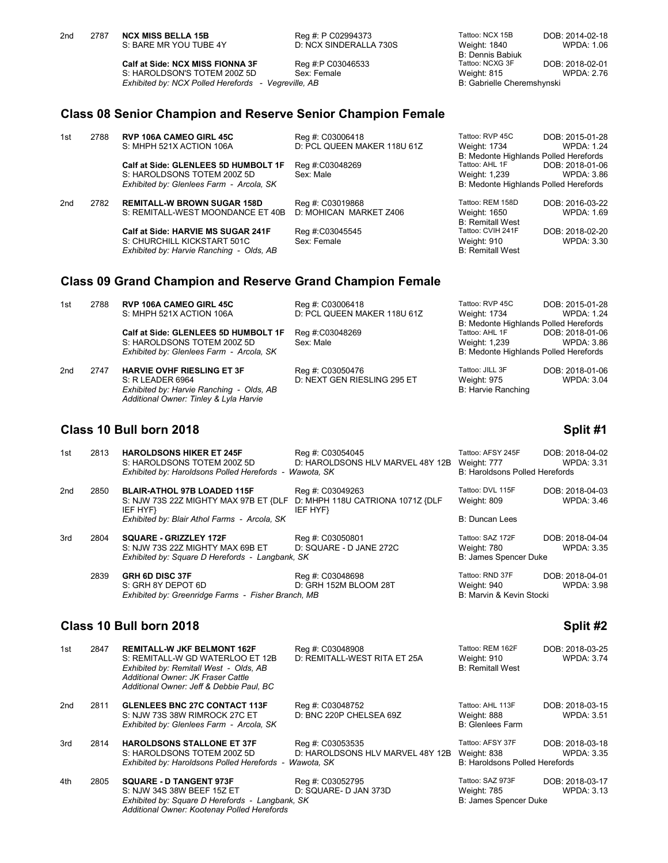| 2 <sub>nd</sub> | 2787 | <b>NCX MISS BELLA 15B</b><br>S: BARE MR YOU TUBE 4Y                                                                            | Reg #: P C02994373<br>D: NCX SINDERALLA 730S | Tattoo: NCX 15B<br>Weight: 1840<br><b>B: Dennis Babiuk</b>   | DOB: 2014-02-18<br><b>WPDA: 1.06</b> |
|-----------------|------|--------------------------------------------------------------------------------------------------------------------------------|----------------------------------------------|--------------------------------------------------------------|--------------------------------------|
|                 |      | <b>Calf at Side: NCX MISS FIONNA 3F</b><br>S: HAROLDSON'S TOTEM 200Z 5D<br>Exhibited by: NCX Polled Herefords - Vegreville, AB | Reg #:P C03046533<br>Sex: Female             | Tattoo: NCXG 3F<br>Weight: 815<br>B: Gabrielle Cheremshynski | DOB: 2018-02-01<br><b>WPDA: 2.76</b> |
|                 |      | <b>Class 08 Senior Champion and Reserve Senior Champion Female</b>                                                             |                                              |                                                              |                                      |
| 1st             | 2788 | <b>RVP 106A CAMEO GIRL 45C</b>                                                                                                 | Reg #: C03006418                             | Tattoo: RVP 45C                                              | DOB: 2015-01-28                      |
|                 |      | S: MHPH 521X ACTION 106A                                                                                                       | D: PCL QUEEN MAKER 118U 61Z                  | Weight: 1734<br>B: Medonte Highlands Polled Herefords        | <b>WPDA: 1.24</b>                    |
|                 |      | Calf at Side: GLENLEES 5D HUMBOLT 1F                                                                                           | Reg #:C03048269                              | Tattoo: AHL 1F                                               | DOB: 2018-01-06                      |
|                 |      | S: HAROLDSONS TOTEM 200Z 5D                                                                                                    | Sex: Male                                    | Weight: 1,239                                                | WPDA: 3.86                           |
|                 |      | Exhibited by: Glenlees Farm - Arcola, SK                                                                                       |                                              | B: Medonte Highlands Polled Herefords                        |                                      |
| 2 <sub>nd</sub> | 2782 | <b>REMITALL-W BROWN SUGAR 158D</b>                                                                                             | Reg #: C03019868                             | Tattoo: REM 158D                                             | DOB: 2016-03-22                      |
|                 |      | S: REMITALL-WEST MOONDANCE ET 40B                                                                                              | D: MOHICAN MARKET Z406                       | Weight: 1650<br><b>B: Remitall West</b>                      | <b>WPDA: 1.69</b>                    |
|                 |      | Calf at Side: HARVIE MS SUGAR 241F                                                                                             | Reg #:C03045545                              | Tattoo: CVIH 241F                                            | DOB: 2018-02-20                      |
|                 |      | S: CHURCHILL KICKSTART 501C<br>Exhibited by: Harvie Ranching - Olds, AB                                                        | Sex: Female                                  | Weight: 910<br><b>B: Remitall West</b>                       | <b>WPDA: 3.30</b>                    |

### **Class 09 Grand Champion and Reserve Grand Champion Female**

*Exhibited by: Harvie Ranching - Olds, AB Additional Owner: Tinley & Lyla Harvie*

| 1st | 2788 | <b>RVP 106A CAMEO GIRL 45C</b><br>S: MHPH 521X ACTION 106A | Reg #: C03006418<br>D: PCL QUEEN MAKER 118U 61Z | Tattoo: RVP 45C<br>Weight: 1734       | DOB: 2015-01-28<br><b>WPDA: 1.24</b> |
|-----|------|------------------------------------------------------------|-------------------------------------------------|---------------------------------------|--------------------------------------|
|     |      |                                                            |                                                 | B: Medonte Highlands Polled Herefords |                                      |
|     |      | Calf at Side: GLENLEES 5D HUMBOLT 1F                       | Reg #:C03048269                                 | Tattoo: AHL 1F                        | DOB: 2018-01-06                      |
|     |      | S: HAROLDSONS TOTEM 200Z 5D                                | Sex: Male                                       | Weight: 1,239                         | <b>WPDA: 3.86</b>                    |
|     |      | Exhibited by: Glenlees Farm - Arcola, SK                   |                                                 | B: Medonte Highlands Polled Herefords |                                      |
| 2nd | 2747 | <b>HARVIE OVHF RIESLING ET 3F</b>                          | Reg #: C03050476                                | Tattoo: JILL 3F                       | DOB: 2018-01-06                      |
|     |      | S: R LEADER 6964                                           | D: NEXT GEN RIESLING 295 ET                     | Weight: 975                           | <b>WPDA: 3.04</b>                    |
|     |      | Exhibited by: Harvie Ranching - Olds, AB                   |                                                 | B: Harvie Ranching                    |                                      |

### **Class 10 Bull born 2018 Split #1**

### 1st 2813 **HAROLDSONS HIKER ET 245F** Reg #: C03054045 Tattoo: AFSY 245F DOB: 2018-04-02<br>S: HAROLDSONS TOTEM 200Z 5D D: HAROLDSONS HLV MARVEL 48Y 12B Weight: 777 WPDA: 3.31 D: HAROLDSONS HLV MARVEL 48Y 12B Weight: 777 WP<br>Vawota, SK Weight: 8.302 B: Haroldsons Polled Herefords *Exhibited by: Haroldsons Polled Herefords - Wawota, SK* 2nd 2850 **BLAIR-ATHOL 97B LOADED 115F** Reg #: C03049263 Tattoo: DVL 115F DOB: 2018-04-03 S: NJW 73S 22Z MIGHTY MAX 97B ET {DLF IEF HYF} D: MHPH 118U CATRIONA 1071Z {DLF IEF HYF} Weight: 809 **Exhibited by: Blair Athol Farms - Arcola, SK B: Duncan Lees B: Duncan Lees** 3rd 2804 **SQUARE - GRIZZLEY 172F** Reg #: C03050801 Tattoo: SAZ 172F DOB: 2018-04-04<br>S: NJW 73S 22Z MIGHTY MAX 69B ET D: SQUARE - D JANE 272C Weight: 780 WPDA: 3.35 S: NJW 73S 22Z MIGHTY MAX 69B ET D: SQUARE - D JANE 272C Weight: 780<br>
Exhibited by: Square D Herefords - Langbank, SK B: James Spencer Duke **Exhibited by: Square D Herefords - Langbank, SK**  2839 **GRH 6D DISC 37F** Reg #: C03048698 Tattoo: RND 37F DOB: 2018-04-01 D: GRH 152M BLOOM 28T Weight: 940<br>
ch, MB<br>
B: Marvin & Kevin Stocki *Exhibited by: Greenridge Farms - Fisher Branch, MB* **Class 10 Bull born 2018 Split #2** 1st 2847 **REMITALL-W JKF BELMONT 162F** Reg #: C03048908 Tattoo: REM 162F DOB: 2018-03-25<br>S: REMITALL-W GD WATERLOO ET 12B D: REMITALL-WEST RITA ET 25A Weight: 910 WPDA: 3.74 S: REMITALL-W GD WATERLOO ET 12B D: REMITALL-WEST RITA ET 25A Weight: 910<br>Exhibited by: Remitall West - Olds. AB 3.745. **Exhibited by: Remitall West - Olds, AB:**  *Additional Owner: JK Fraser Cattle Additional Owner: Jeff & Debbie Paul, BC* 2nd 2811 **GLENLEES BNC 27C CONTACT 113F** Reg #: C03048752 Tattoo: AHL 113F DOB: 2018-03-15 S: NJW 73S 38W RIMROCK 27C ET D: BNC 220P CHELSEA 69Z Weight: 888 Weight: 888 WPDA: 3.51<br>Exhibited by: Glenlees Farm - Arcola. SK *Exhibited by: Glenlees Farm - Arcola, SK* 3rd 2814 **HAROLDSONS STALLONE ET 37F** Reg #: C03053535 Tattoo: AFSY 37F DOB: 2018-03-18<br>S: HAROLDSONS TOTEM 200Z 5D D: HAROLDSONS HLV MARVEL 48Y 12B Weight: 838 WPDA: 3.35 D: HAROLDSONS HLV MARVEL 48Y 12B Weight: 838 WP<br>Vawota, SK B: Haroldsons Polled Herefords *Exhibited by: Haroldsons Polled Herefords - Wawota, SK*

| 4th | 2805 | <b>SQUARE - D TANGENT 973F</b>                  | Rea #: C03052795      | Tattoo: SAZ 973F      | DOB: 2018-03-17   |
|-----|------|-------------------------------------------------|-----------------------|-----------------------|-------------------|
|     |      | S: NJW 34S 38W BEEF 15Z ET                      | D: SQUARE- D JAN 373D | Weight: 785           | <b>WPDA: 3.13</b> |
|     |      | Exhibited by: Square D Herefords - Langbank, SK |                       | B: James Spencer Duke |                   |
|     |      | Additional Owner: Kootenay Polled Herefords     |                       |                       |                   |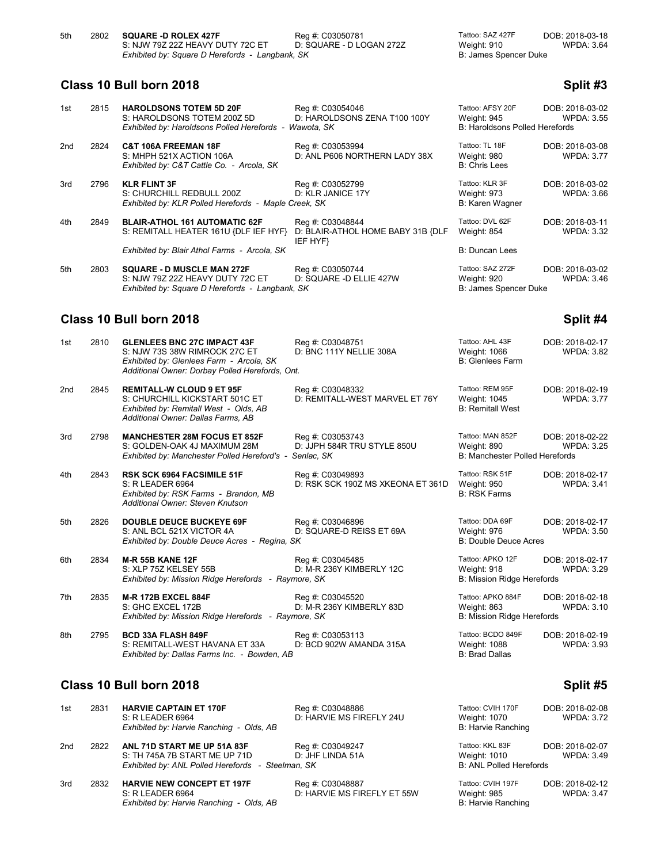| 5th | 2802 | <b>SQUARE -D ROLEX 427F</b>                     | Reg #: C03050781         | Tattoo: SAZ 427F      | DOB: 2018-03-18   |
|-----|------|-------------------------------------------------|--------------------------|-----------------------|-------------------|
|     |      | S: NJW 79Z 22Z HEAVY DUTY 72C ET                | D: SQUARE - D LOGAN 272Z | Weight: 910           | <b>WPDA: 3.64</b> |
|     |      | Exhibited by: Square D Herefords - Langbank, SK |                          | B: James Spencer Duke |                   |

**Class 10 Bull born 2018 Split #3**

| 1st | 2815 | <b>HAROLDSONS TOTEM 5D 20F</b><br>S: HAROLDSONS TOTEM 200Z 5D<br>Exhibited by: Haroldsons Polled Herefords - Wawota, SK  | Reg #: C03054046<br>D: HAROLDSONS ZENA T100 100Y                  | Tattoo: AFSY 20F<br>Weight: 945<br><b>B: Haroldsons Polled Herefords</b> | DOB: 2018-03-02<br><b>WPDA: 3.55</b> |
|-----|------|--------------------------------------------------------------------------------------------------------------------------|-------------------------------------------------------------------|--------------------------------------------------------------------------|--------------------------------------|
| 2nd | 2824 | <b>C&amp;T 106A FREEMAN 18F</b><br>S: MHPH 521X ACTION 106A<br>Exhibited by: C&T Cattle Co. - Arcola, SK                 | Reg #: C03053994<br>D: ANL P606 NORTHERN LADY 38X                 | Tattoo: TL 18F<br>Weight: 980<br>B: Chris Lees                           | DOB: 2018-03-08<br><b>WPDA: 3.77</b> |
| 3rd | 2796 | <b>KLR FLINT 3F</b><br>S: CHURCHILL REDBULL 200Z<br>Exhibited by: KLR Polled Herefords - Maple Creek, SK                 | Reg #: C03052799<br>D: KLR JANICE 17Y                             | Tattoo: KLR 3F<br>Weight: 973<br>B: Karen Wagner                         | DOB: 2018-03-02<br><b>WPDA: 3.66</b> |
| 4th | 2849 | <b>BLAIR-ATHOL 161 AUTOMATIC 62F</b><br>S: REMITALL HEATER 161U {DLF IEF HYF}                                            | Reg #: C03048844<br>D: BLAIR-ATHOL HOME BABY 31B {DLF<br>IEF HYF} | Tattoo: DVL 62F<br>Weight: 854                                           | DOB: 2018-03-11<br><b>WPDA: 3.32</b> |
|     |      | Exhibited by: Blair Athol Farms - Arcola, SK                                                                             |                                                                   | <b>B: Duncan Lees</b>                                                    |                                      |
| 5th | 2803 | <b>SQUARE - D MUSCLE MAN 272F</b><br>S: NJW 79Z 22Z HEAVY DUTY 72C ET<br>Exhibited by: Square D Herefords - Langbank, SK | Reg #: C03050744<br>D: SQUARE -D ELLIE 427W                       | Tattoo: SAZ 272F<br>Weight: 920<br>B: James Spencer Duke                 | DOB: 2018-03-02<br><b>WPDA: 3.46</b> |
|     |      | Class 10 Bull born 2018                                                                                                  |                                                                   |                                                                          | Split #4                             |

### 1st 2810 **GLENLEES BNC 27C IMPACT 43F** Reg #: C03048751 Tattoo: AHL 43F DOB: 2018-02-17<br>S: NJW 73S 38W RIMROCK 27C ET D: BNC 111Y NELLIE 308A Weight: 1066 WPDA: 3.82 S: NJW 73S 38W RIMROCK 27C ET *Exhibited by: Glenlees Farm - Arcola, SK* B: Glenlees Farm - Arcola, SK *Additional Owner: Dorbay Polled Herefords, Ont.* 2nd 2845 **REMITALL-W CLOUD 9 ET 95F** Reg #: C03048332 Tattoo: REM 95F DOB: 2018-02-19<br>S: CHURCHILL KICKSTART 501C ET D: REMITALL-WEST MARVEL ET 76Y Weight: 1045 WPDA: 3.77 D: REMITALL-WEST MARVEL ET 76Y Weight: 1045 WPDA: 3.77<br>B: Remitall West *Exhibited by: Remitall West - Olds, AB Additional Owner: Dallas Farms, AB* 3rd 2798 **MANCHESTER 28M FOCUS ET 852F** Reg #: C03053743 Tattoo: MAN 852F DOB: 2018-02-22 S: GOLDEN-OAK 4J MAXIMUM 28M D: JJPH 584R TRU STYLE 850U W<br>Exhibited by: Manchester Polled Hereford's - Senlac, SK **Exhibited by: Manchester Polled Hereford's -**4th 2843 **RSK SCK 6964 FACSIMILE 51F** Reg #: C03049893 Tattoo: RSK 51F DOB: 2018-02-17<br>S: R LEADER 6964 The D: RSK SCK 190Z MS XKEONA ET 361D Weight: 950 S: R LEADER 6964 D: RSK SCK 190Z MS XKEONA ET 361D *Exhibited by: RSK Farms - Brandon, MB* **B:**  $B:$ *Additional Owner: Steven Knutson* 5th 2826 **DOUBLE DEUCE BUCKEYE 69F** Reg #: C03046896 Tattoo: DDA 69F DOB: 2018-02-17<br>S: ANL BCL 521X VICTOR 4A D: SQUARE-D REISS ET 69A Weight: 976 WPDA: 3.50 S: ANL BCL 521X VICTOR 4A D: SQUARE-D REISS ET 69A Weight: 976<br>
Exhibited by: Double Deuce Acres - Regina. SK B: Double Deuce Acres **Exhibited by: Double Deuce Acres - Regina, SK** 6th 2834 **M-R 55B KANE 12F** Reg #: C03045485 Tattoo: APKO 12F DOB: 2018-02-17<br>S: XLP 75Z KELSEY 55B D: M-R 236Y KIMBERLY 12C Weight: 918 WPDA: 3.29 D: M-R 236Y KIMBERLY 12C Weight: 918<br>
more. SK WebDate: The B: Mission Ridae Herefords *Exhibited by: Mission Ridge Herefords - Raymore, SK* 7th 2835 **M-R 172B EXCEL 884F** Reg #: C03045520 Tattoo: APKO 884F DOB: 2018-02-18<br>S: GHC EXCEL 172B D: M-R 236Y KIMBERLY 83D Weight: 863 WPDA: 3.10 D: M-R 236Y KIMBERLY 83D Weight: 863<br>
more, SK WESTERLY 83D B: Mission Ridge Herefords *Exhibited by: Mission Ridge Herefords - Raymore, SK* 8th 2795 **BCD 33A FLASH 849F** Reg #: C03053113 Tattoo: BCDO 849F DOB: 2018-02-19<br>S: REMITALL-WEST HAVANA ET 33A D: BCD 902W AMANDA 315A Weight: 1088 WPDA: 3.93 S: REMITALL-WEST HAVANA ET 33A D: BCD 902W AMANDA 315A Weight: 1088<br>Exhibited by: Dallas Farms Inc. - Bowden. AB **Exhibited by: Dallas Farms Inc. - Bowden, AB**

### **Class 10 Bull born 2018 Split #5**

| 1st | 2831 | <b>HARVIE CAPTAIN ET 170F</b><br>S: R LEADER 6964<br>Exhibited by: Harvie Ranching - Olds, AB                     | Reg #: C03048886<br>D: HARVIE MS FIREFLY 24U    | Tattoo: CVIH 170F<br>Weight: 1070<br>B: Harvie Ranching           | DOB: 2018-02-08<br><b>WPDA: 3.72</b> |
|-----|------|-------------------------------------------------------------------------------------------------------------------|-------------------------------------------------|-------------------------------------------------------------------|--------------------------------------|
| 2nd | 2822 | ANL 71D START ME UP 51A 83F<br>S: TH 745A 7B START ME UP 71D<br>Exhibited by: ANL Polled Herefords - Steelman. SK | Reg #: C03049247<br>D: JHF LINDA 51A            | Tattoo: KKL 83F<br>Weight: 1010<br><b>B: ANL Polled Herefords</b> | DOB: 2018-02-07<br><b>WPDA: 3.49</b> |
| 3rd | 2832 | <b>HARVIE NEW CONCEPT ET 197F</b><br>S: R LEADER 6964<br>Exhibited by: Harvie Ranching - Olds, AB                 | Reg #: C03048887<br>D: HARVIE MS FIREFLY ET 55W | Tattoo: CVIH 197F<br>Weight: 985<br><b>B: Harvie Ranching</b>     | DOB: 2018-02-12<br><b>WPDA: 3.47</b> |

| ttoo: DVL 62F<br>eight: 854                                 | DOB: 2018-03-1<br><b>WPDA: 3.3</b> |
|-------------------------------------------------------------|------------------------------------|
| Duncan Lees                                                 |                                    |
| ttoo: SAZ 272F<br>eight: 920<br>James Spencer Duke          | DOB: 2018-03-0<br><b>WPDA: 3.4</b> |
|                                                             | Split #                            |
| ttoo: AHL 43F<br>eight: 1066<br>Glenlees Farm               | DOB: 2018-02-1<br><b>WPDA: 3.8</b> |
| ttoo: REM 95F<br>eight: 1045<br><b>Remitall West</b>        | DOB: 2018-02-1<br><b>WPDA: 3.7</b> |
| ttoo: MAN 852F<br>eight: 890<br>Manchester Polled Herefords | DOB: 2018-02-2<br><b>WPDA: 3.2</b> |
| ttoo: RSK 51F<br>eight: 950<br><b>RSK Farms</b>             | DOB: 2018-02-1<br><b>WPDA: 3.4</b> |
|                                                             |                                    |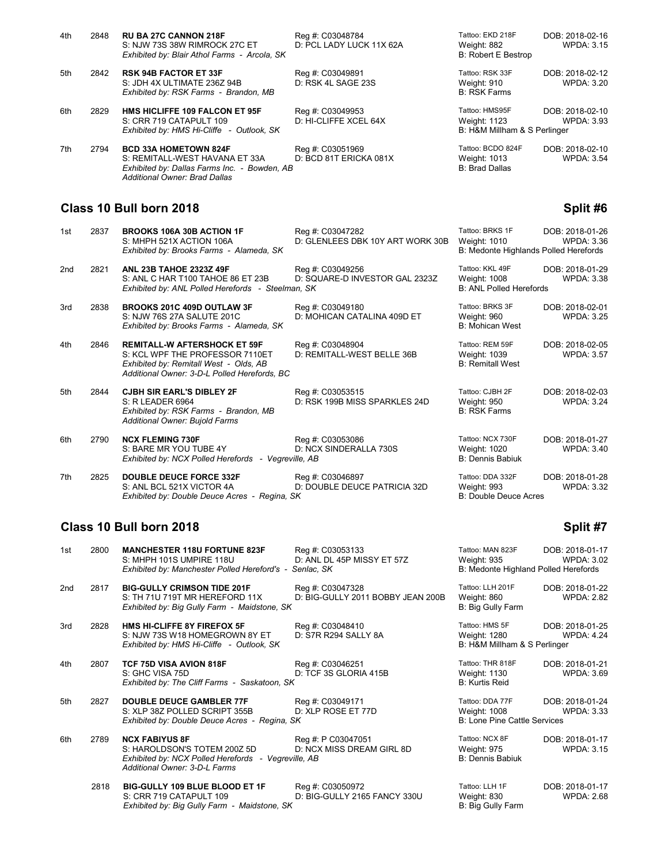| 4th | 2848 | <b>RU BA 27C CANNON 218F</b><br>S: NJW 73S 38W RIMROCK 27C ET<br>Exhibited by: Blair Athol Farms - Arcola, SK                                   | Reg #: C03048784<br>D: PCL LADY LUCK 11X 62A | Tattoo: EKD 218F<br>Weight: 882<br><b>B: Robert E Bestrop</b>         | DOB: 2018-02-16<br><b>WPDA: 3.15</b> |
|-----|------|-------------------------------------------------------------------------------------------------------------------------------------------------|----------------------------------------------|-----------------------------------------------------------------------|--------------------------------------|
| 5th | 2842 | <b>RSK 94B FACTOR ET 33F</b><br>S: JDH 4X ULTIMATE 236Z 94B<br>Exhibited by: RSK Farms - Brandon, MB                                            | Reg #: C03049891<br>D: RSK 4L SAGE 23S       | Tattoo: RSK 33F<br>Weight: 910<br><b>B: RSK Farms</b>                 | DOB: 2018-02-12<br>WPDA: 3.20        |
| 6th | 2829 | <b>HMS HICLIFFE 109 FALCON ET 95F</b><br>S: CRR 719 CATAPULT 109<br>Exhibited by: HMS Hi-Cliffe - Outlook, SK                                   | Reg #: C03049953<br>D: HI-CLIFFE XCEL 64X    | Tattoo: HMS95F<br><b>Weight: 1123</b><br>B: H&M Millham & S Perlinger | DOB: 2018-02-10<br>WPDA: 3.93        |
| 7th | 2794 | <b>BCD 33A HOMETOWN 824F</b><br>S: REMITALL-WEST HAVANA ET 33A<br>Exhibited by: Dallas Farms Inc. - Bowden, AB<br>Additional Owner: Brad Dallas | Reg #: C03051969<br>D: BCD 81T ERICKA 081X   | Tattoo: BCDO 824F<br>Weight: 1013<br><b>B: Brad Dallas</b>            | DOB: 2018-02-10<br>WPDA: 3.54        |

### **Class 10 Bull born 2018 Split #6**

| 1st             | 2837 | <b>BROOKS 106A 30B ACTION 1F</b><br>S: MHPH 521X ACTION 106A<br>Exhibited by: Brooks Farms - Alameda, SK                                                         | Reg #: C03047282<br>D: GLENLEES DBK 10Y ART WORK 30B | Tattoo: BRKS 1F<br>Weight: 1010<br>B: Medonte Highlands Polled Herefords | DOB: 2018-01-26<br><b>WPDA: 3.36</b> |
|-----------------|------|------------------------------------------------------------------------------------------------------------------------------------------------------------------|------------------------------------------------------|--------------------------------------------------------------------------|--------------------------------------|
| 2 <sub>nd</sub> | 2821 | <b>ANL 23B TAHOE 2323Z 49F</b><br>S: ANL C HAR T100 TAHOE 86 ET 23B<br>Exhibited by: ANL Polled Herefords - Steelman, SK                                         | Reg #: C03049256<br>D: SQUARE-D INVESTOR GAL 2323Z   | Tattoo: KKL 49F<br>Weight: 1008<br><b>B: ANL Polled Herefords</b>        | DOB: 2018-01-29<br><b>WPDA: 3.38</b> |
| 3rd             | 2838 | <b>BROOKS 201C 409D OUTLAW 3F</b><br>S: NJW 76S 27A SALUTE 201C<br>Exhibited by: Brooks Farms - Alameda, SK                                                      | Reg #: C03049180<br>D: MOHICAN CATALINA 409D ET      | Tattoo: BRKS 3F<br>Weight: 960<br><b>B: Mohican West</b>                 | DOB: 2018-02-01<br><b>WPDA: 3.25</b> |
| 4th             | 2846 | <b>REMITALL-W AFTERSHOCK ET 59F</b><br>S: KCL WPF THE PROFESSOR 7110ET<br>Exhibited by: Remitall West - Olds, AB<br>Additional Owner: 3-D-L Polled Herefords, BC | Reg #: C03048904<br>D: REMITALL-WEST BELLE 36B       | Tattoo: REM 59F<br>Weight: 1039<br><b>B: Remitall West</b>               | DOB: 2018-02-05<br><b>WPDA: 3.57</b> |
| 5th             | 2844 | <b>CJBH SIR EARL'S DIBLEY 2F</b><br>S: R LEADER 6964<br>Exhibited by: RSK Farms - Brandon, MB<br>Additional Owner: Bujold Farms                                  | Reg #: C03053515<br>D: RSK 199B MISS SPARKLES 24D    | Tattoo: CJBH 2F<br>Weight: 950<br><b>B: RSK Farms</b>                    | DOB: 2018-02-03<br><b>WPDA: 3.24</b> |
| 6th             | 2790 | <b>NCX FLEMING 730F</b><br>S: BARE MR YOU TUBE 4Y<br>Exhibited by: NCX Polled Herefords - Vegreville, AB                                                         | Reg #: C03053086<br>D: NCX SINDERALLA 730S           | Tattoo: NCX 730F<br>Weight: 1020<br><b>B: Dennis Babiuk</b>              | DOB: 2018-01-27<br><b>WPDA: 3.40</b> |
| 7th             | 2825 | <b>DOUBLE DEUCE FORCE 332F</b><br>S: ANL BCL 521X VICTOR 4A<br>Exhibited by: Double Deuce Acres - Regina, SK                                                     | Reg #: C03046897<br>D: DOUBLE DEUCE PATRICIA 32D     | Tattoo: DDA 332F<br>Weight: 993<br>B: Double Deuce Acres                 | DOB: 2018-01-28<br><b>WPDA: 3.32</b> |

# **Class 10 Bull born 2018 Split #7 Split #7**

| 1st             | 2800 | <b>MANCHESTER 118U FORTUNE 823F</b><br>S: MHPH 101S UMPIRE 118U<br>Exhibited by: Manchester Polled Hereford's - Senlac, SK                    | Reg #: C03053133<br>D: ANL DL 45P MISSY ET 57Z        | Tattoo: MAN 823F<br>Weight: 935<br>B: Medonte Highland Polled Herefords | DOB: 2018-01-17<br><b>WPDA: 3.02</b> |
|-----------------|------|-----------------------------------------------------------------------------------------------------------------------------------------------|-------------------------------------------------------|-------------------------------------------------------------------------|--------------------------------------|
| 2 <sub>nd</sub> | 2817 | <b>BIG-GULLY CRIMSON TIDE 201F</b><br>S: TH 71U 719T MR HEREFORD 11X<br>Exhibited by: Big Gully Farm - Maidstone, SK                          | Reg #: C03047328<br>D: BIG-GULLY 2011 BOBBY JEAN 200B | Tattoo: LLH 201F<br>Weight: 860<br>B: Big Gully Farm                    | DOB: 2018-01-22<br><b>WPDA: 2.82</b> |
| 3rd             | 2828 | HMS HI-CLIFFE 8Y FIREFOX 5F<br>S: NJW 73S W18 HOMEGROWN 8Y ET<br>Exhibited by: HMS Hi-Cliffe - Outlook, SK                                    | Reg #: C03048410<br>D: S7R R294 SALLY 8A              | Tattoo: HMS 5F<br>Weight: 1280<br>B: H&M Millham & S Perlinger          | DOB: 2018-01-25<br><b>WPDA: 4.24</b> |
| 4th             | 2807 | <b>TCF 75D VISA AVION 818F</b><br>S: GHC VISA 75D<br>Exhibited by: The Cliff Farms - Saskatoon, SK                                            | Reg #: C03046251<br>D: TCF 3S GLORIA 415B             | Tattoo: THR 818F<br>Weight: 1130<br><b>B: Kurtis Reid</b>               | DOB: 2018-01-21<br><b>WPDA: 3.69</b> |
| 5th             | 2827 | <b>DOUBLE DEUCE GAMBLER 77F</b><br>S: XLP 38Z POLLED SCRIPT 355B<br>Exhibited by: Double Deuce Acres - Regina, SK                             | Reg #: C03049171<br>D: XLP ROSE ET 77D                | Tattoo: DDA 77F<br>Weight: 1008<br><b>B: Lone Pine Cattle Services</b>  | DOB: 2018-01-24<br><b>WPDA: 3.33</b> |
| 6th             | 2789 | <b>NCX FABIYUS 8F</b><br>S: HAROLDSON'S TOTEM 200Z 5D<br>Exhibited by: NCX Polled Herefords - Vegreville, AB<br>Additional Owner: 3-D-L Farms | Reg #: P C03047051<br>D: NCX MISS DREAM GIRL 8D       | Tattoo: NCX 8F<br>Weight: 975<br><b>B: Dennis Babiuk</b>                | DOB: 2018-01-17<br><b>WPDA: 3.15</b> |
|                 | 2818 | <b>BIG-GULLY 109 BLUE BLOOD ET 1F</b><br>S: CRR 719 CATAPULT 109<br>Exhibited by: Big Gully Farm - Maidstone, SK                              | Reg #: C03050972<br>D: BIG-GULLY 2165 FANCY 330U      | Tattoo: LLH 1F<br>Weight: 830<br>B: Big Gully Farm                      | DOB: 2018-01-17<br><b>WPDA: 2.68</b> |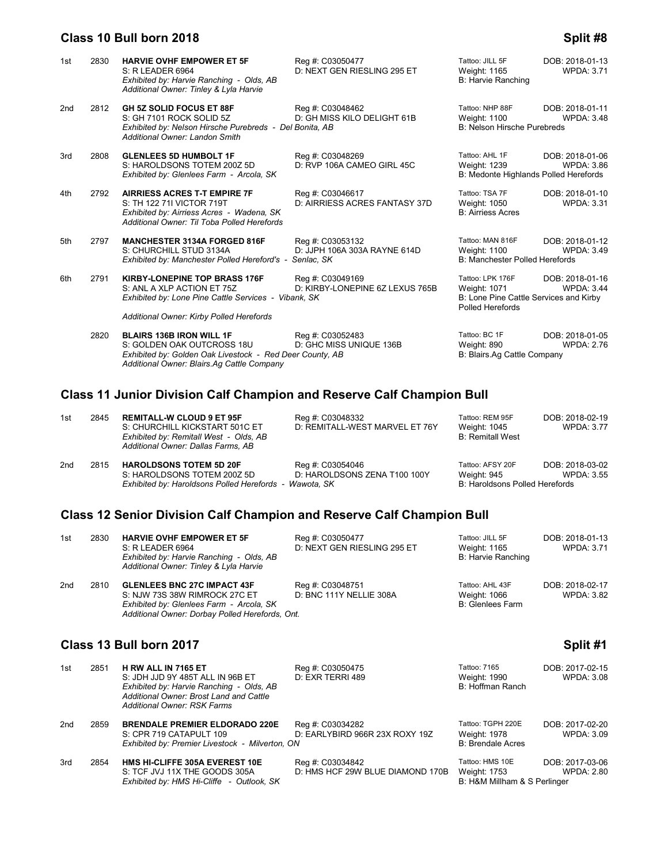### **Class 10 Bull born 2018 Split #8**

### 1st 2830 **HARVIE OVHF EMPOWER ET 5F** Reg #: C03050477 Tattoo: JILL 5F DOB: 2018-01-13<br>13.71 S: R LEADER 6964 **D: NEXT GEN RIESLING 295 ET** Weight: 1165 WPDA: 3.71 D: NEXT GEN RIESLING 295 ET Weight: 1165 WPDA: 3.71<br>B: Harvie Ranching *Exhibited by: Harvie Ranching - Olds, AB Additional Owner: Tinley & Lyla Harvie* 2nd 2812 **GH 5Z SOLID FOCUS ET 88F** Reg #: C03048462 Tattoo: NHP 88F DOB: 2018-01-11<br>S: GH 7101 ROCK SOLID 5Z D: GH MISS KILO DELIGHT 61B Weight: 1100 WPDA: 3.48 D: GH MISS KILO DELIGHT 61B Weight: 1100 V<br>Bonita, AB B: Nelson Hirsche Purebreds *Exhibited by: Nelson Hirsche Purebreds - Del Bonita, AB Additional Owner: Landon Smith* 3rd 2808 **GLENLEES 5D HUMBOLT 1F** Reg #: C03048269 Tattoo: AHL 1F DOB: 2018-01-06<br>S: HAROLDSONS TOTEM 200Z 5D D: RVP 106A CAMEO GIRL 45C Weight: 1239 WPDA: 3.86 D: RVP 106A CAMEO GIRL 45C Weight: 1239 WPDA: 3.86<br>B: Medonte Highlands Polled Herefords *Exhibited by: Glenlees Farm - Arcola, SK* 4th 2792 **AIRRIESS ACRES T-T EMPIRE 7F** Reg #: C03046617 Tattoo: TSA 7F DOB: 2018-01-10<br>S: TH 122 71I VICTOR 719T D: AIRRIESS ACRES FANTASY 37D Weight: 1050 WPDA: 3.31 S: TH 122 71I VICTOR 719T D: AIRRIESS ACRES FANTASY 37D Weight: 1050 WPDA: 3.31<br>Exhibited by: Airriess Acres - Wadena, SK B: Airriess Acres B: Airriess Acres *Exhibited by: Airriess Acres - Wadena, SK Additional Owner: Til Toba Polled Herefords*  5th 2797 **MANCHESTER 3134A FORGED 816F** Reg #: C03053132 Tattoo: MAN 816F DOB: 2018-01-12<br>S: CHURCHILL STUD 3134A D: JJPH 106A 303A RAYNE 614D Weight: 1100 WPDA: 3.49 D: JJPH 106A 303A RAYNE 614D Weight: 1100 WPI WP<br>Senlac, SK Weight: 3.499 B: Manchester Polled Herefords *Exhibited by: Manchester Polled Hereford's - Senlac, SK* 6th 2791 **KIRBY-LONEPINE TOP BRASS 176F** Reg #: C03049169 Tattoo: LPK 176F DOB: 2018-01-16<br>S: ANL A XLP ACTION ET 75Z D: KIRBY-LONEPINE 6Z LEXUS 765B Weight: 1071 VPDA: 3.44 D: KIRBY-LONEPINE 6Z LEXUS 765B Weight: 1071 WPDA: 3.4<br>ank. SK B: Lone Pine Cattle Services and Kirby *Exhibited by: Lone Pine Cattle Services - Vibank, SK* Polled Herefords *Additional Owner: Kirby Polled Herefords* 2820 **BLAIRS 136B IRON WILL 1F** Reg #: C03052483 Tattoo: BC 1F DOB: 2018-01-05<br>276: S: GOLDEN OAK OUTCROSS 18U D: GHC MISS UNIQUE 136B Weight: 890 WPDA: 2.76 S: GOLDEN OAK OUTCROSS 18U D: GHC MISS UNIQUE 136B Weight: 890 Weight: 890 Metal of Dieter County, AB Deer County, AB *Exhibited by: Golden Oak Livestock - Red Deer County, AB*

## **Class 11 Junior Division Calf Champion and Reserve Calf Champion Bull**

*Additional Owner: Blairs.Ag Cattle Company*

| 1st | 2845 | <b>REMITALL-W CLOUD 9 ET 95F</b><br>S: CHURCHILL KICKSTART 501C ET<br>Exhibited by: Remitall West - Olds, AB<br>Additional Owner: Dallas Farms, AB | Reg #: C03048332<br>D: REMITALL-WEST MARVEL ET 76Y | Tattoo: REM 95F<br>Weight: 1045<br><b>B:</b> Remitall West | DOB: 2018-02-19<br><b>WPDA: 3.77</b> |
|-----|------|----------------------------------------------------------------------------------------------------------------------------------------------------|----------------------------------------------------|------------------------------------------------------------|--------------------------------------|
| 2nd | 2815 | <b>HAROLDSONS TOTEM 5D 20F</b>                                                                                                                     | Reg #: C03054046                                   | Tattoo: AFSY 20F                                           | DOB: 2018-03-02                      |
|     |      | S: HAROLDSONS TOTEM 200Z 5D<br>Exhibited by: Haroldsons Polled Herefords - Wawota, SK                                                              | D: HAROLDSONS ZENA T100 100Y                       | Weight: 945<br>B: Haroldsons Polled Herefords              | WPDA: 3.55                           |

## **Class 12 Senior Division Calf Champion and Reserve Calf Champion Bull**

| 1st             | 2830 | <b>HARVIE OVHF EMPOWER ET 5F</b><br>S: R LEADER 6964<br>Exhibited by: Harvie Ranching - Olds, AB<br>Additional Owner: Tinley & Lyla Harvie                         | Reg #: C03050477<br>D: NEXT GEN RIESLING 295 ET | Tattoo: JILL 5F<br>Weight: 1165<br>B: Harvie Ranching      | DOB: 2018-01-13<br>WPDA: 3.71 |
|-----------------|------|--------------------------------------------------------------------------------------------------------------------------------------------------------------------|-------------------------------------------------|------------------------------------------------------------|-------------------------------|
| 2 <sub>nd</sub> | 2810 | <b>GLENLEES BNC 27C IMPACT 43F</b><br>S: NJW 73S 38W RIMROCK 27C ET<br>Exhibited by: Glenlees Farm - Arcola, SK<br>Additional Owner: Dorbay Polled Herefords, Ont. | Reg #: C03048751<br>D: BNC 111Y NELLIE 308A     | Tattoo: AHL 43F<br>Weight: 1066<br><b>B:</b> Glenlees Farm | DOB: 2018-02-17<br>WPDA: 3.82 |

### **Class 13 Bull born 2017 Split #1**

| 1st | 2851 | H RW ALL IN 7165 ET<br>S: JDH JJD 9Y 485T ALL IN 96B ET<br>Exhibited by: Harvie Ranching - Olds, AB<br>Additional Owner: Brost Land and Cattle<br><b>Additional Owner: RSK Farms</b> | Reg #: C03050475<br>D: EXR TERRI 489                 | Tattoo: 7165<br>Weight: 1990<br>B: Hoffman Ranch                | DOB: 2017-02-15<br>WPDA: 3.08        |
|-----|------|--------------------------------------------------------------------------------------------------------------------------------------------------------------------------------------|------------------------------------------------------|-----------------------------------------------------------------|--------------------------------------|
| 2nd | 2859 | <b>BRENDALE PREMIER ELDORADO 220E</b><br>S: CPR 719 CATAPULT 109<br>Exhibited by: Premier Livestock - Milverton, ON                                                                  | Reg #: C03034282<br>D: EARLYBIRD 966R 23X ROXY 19Z   | Tattoo: TGPH 220E<br>Weight: 1978<br><b>B: Brendale Acres</b>   | DOB: 2017-02-20<br>WPDA: 3.09        |
| 3rd | 2854 | HMS HI-CLIFFE 305A EVEREST 10E<br>S: TCF JVJ 11X THE GOODS 305A<br>Exhibited by: HMS Hi-Cliffe - Outlook, SK                                                                         | Reg #: C03034842<br>D: HMS HCF 29W BLUE DIAMOND 170B | Tattoo: HMS 10E<br>Weight: 1753<br>B: H&M Millham & S Perlinger | DOB: 2017-03-06<br><b>WPDA: 2.80</b> |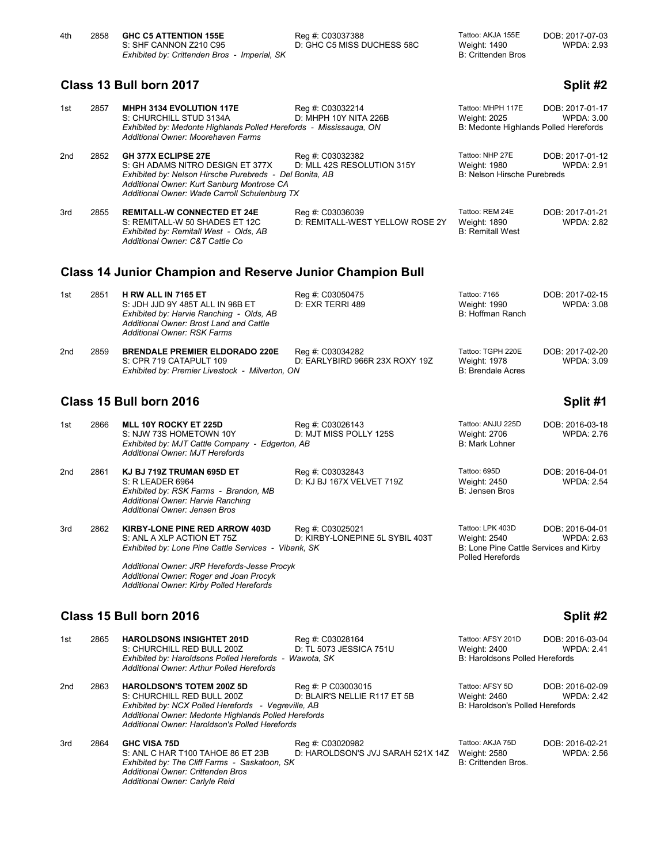| 4th | 2858 | <b>GHC C5 ATTENTION 155E</b>                 | Rea #: C03037388           | Tattoo: AKJA 155E  | DOB: 2017-07-03   |
|-----|------|----------------------------------------------|----------------------------|--------------------|-------------------|
|     |      | S: SHF CANNON Z210 C95                       | D: GHC C5 MISS DUCHESS 58C | Weight: 1490       | <b>WPDA: 2.93</b> |
|     |      | Exhibited by: Crittenden Bros - Imperial, SK |                            | B: Crittenden Bros |                   |

# **Class 13 Bull born 2017 Split #2 Split #2**

| 1st | 2857 | MHPH 3134 EVOLUTION 117E<br>S: CHURCHILL STUD 3134A<br>Exhibited by: Medonte Highlands Polled Herefords - Mississauga, ON<br>Additional Owner: Moorehaven Farms                                                          | Reg #: C03032214<br>D: MHPH 10Y NITA 226B           | Tattoo: MHPH 117E<br>Weight: 2025<br>B: Medonte Highlands Polled Herefords | DOB: 2017-01-17<br><b>WPDA: 3.00</b> |
|-----|------|--------------------------------------------------------------------------------------------------------------------------------------------------------------------------------------------------------------------------|-----------------------------------------------------|----------------------------------------------------------------------------|--------------------------------------|
| 2nd | 2852 | <b>GH 377X ECLIPSE 27E</b><br>S: GH ADAMS NITRO DESIGN ET 377X<br>Exhibited by: Nelson Hirsche Purebreds - Del Bonita, AB<br>Additional Owner: Kurt Sanburg Montrose CA<br>Additional Owner: Wade Carroll Schulenburg TX | Reg #: C03032382<br>D: MLL 42S RESOLUTION 315Y      | Tattoo: NHP 27E<br>Weight: 1980<br><b>B: Nelson Hirsche Purebreds</b>      | DOB: 2017-01-12<br><b>WPDA: 2.91</b> |
| 3rd | 2855 | <b>REMITALL-W CONNECTED ET 24E</b><br>S: REMITALL-W 50 SHADES ET 12C<br>Exhibited by: Remitall West - Olds, AB<br>Additional Owner: C&T Cattle Co.                                                                       | Reg #: C03036039<br>D: REMITALL-WEST YELLOW ROSE 2Y | Tattoo: REM 24E<br>Weight: 1890<br><b>B: Remitall West</b>                 | DOB: 2017-01-21<br><b>WPDA: 2.82</b> |
|     |      | <b>Class 14 Junior Champion and Reserve Junior Champion Bull</b>                                                                                                                                                         |                                                     |                                                                            |                                      |

| 1st             | 2851 | H RW ALL IN 7165 ET<br>S: JDH JJD 9Y 485T ALL IN 96B ET<br>Exhibited by: Harvie Ranching - Olds, AB<br>Additional Owner: Brost Land and Cattle<br>Additional Owner: RSK Farms | Reg #: C03050475<br>D: EXR TERRI 489               | Tattoo: 7165<br>Weight: 1990<br>B: Hoffman Ranch       | DOB: 2017-02-15<br>WPDA: 3.08 |
|-----------------|------|-------------------------------------------------------------------------------------------------------------------------------------------------------------------------------|----------------------------------------------------|--------------------------------------------------------|-------------------------------|
| 2 <sub>nd</sub> | 2859 | <b>BRENDALE PREMIER ELDORADO 220E</b><br>S: CPR 719 CATAPULT 109<br>Exhibited by: Premier Livestock - Milverton, ON                                                           | Reg #: C03034282<br>D: EARLYBIRD 966R 23X ROXY 19Z | Tattoo: TGPH 220E<br>Weight: 1978<br>B: Brendale Acres | DOB: 2017-02-20<br>WPDA: 3.09 |

## **Class 15 Bull born 2016 Split #1**

*Additional Owner: Carlyle Reid* 

| 1st             | 2866 | MLL 10Y ROCKY ET 225D<br>S: NJW 73S HOMETOWN 10Y<br>Exhibited by: MJT Cattle Company - Edgerton, AB<br>Additional Owner: MJT Herefords                                                                                                                      | Reg #: C03026143<br>D: MJT MISS POLLY 125S                | Tattoo: ANJU 225D<br>Weight: 2706<br><b>B: Mark Lohner</b>                                     | DOB: 2016-03-18<br>WPDA: 2.76        |
|-----------------|------|-------------------------------------------------------------------------------------------------------------------------------------------------------------------------------------------------------------------------------------------------------------|-----------------------------------------------------------|------------------------------------------------------------------------------------------------|--------------------------------------|
| 2 <sub>nd</sub> | 2861 | KJ BJ 719Z TRUMAN 695D ET<br>$S: R$ LEADER 6964<br>Exhibited by: RSK Farms - Brandon, MB<br>Additional Owner: Harvie Ranching<br>Additional Owner: Jensen Bros                                                                                              | Reg #: C03032843<br>D: KJ BJ 167X VELVET 719Z             | Tattoo: 695D<br>Weight: 2450<br>B: Jensen Bros                                                 | DOB: 2016-04-01<br><b>WPDA: 2.54</b> |
| 3rd             | 2862 | KIRBY-LONE PINE RED ARROW 403D<br>S: ANL A XLP ACTION ET 75Z<br>Exhibited by: Lone Pine Cattle Services - Vibank, SK<br>Additional Owner: JRP Herefords-Jesse Procyk<br>Additional Owner: Roger and Joan Procyk<br>Additional Owner: Kirby Polled Herefords | Reg #: C03025021<br>D: KIRBY-LONEPINE 5L SYBIL 403T       | Tattoo: LPK 403D<br>Weight: 2540<br>B: Lone Pine Cattle Services and Kirby<br>Polled Herefords | DOB: 2016-04-01<br><b>WPDA: 2.63</b> |
|                 |      | Class 15 Bull born 2016                                                                                                                                                                                                                                     |                                                           |                                                                                                | Split #2                             |
| 1st             | 2865 | <b>HAROLDSONS INSIGHTET 201D</b><br>S: CHURCHILL RED BULL 200Z<br>Exhibited by: Haroldsons Polled Herefords -<br>Additional Owner: Arthur Polled Herefords                                                                                                  | Reg #: C03028164<br>D: TL 5073 JESSICA 751U<br>Wawota, SK | Tattoo: AFSY 201D<br>Weight: 2400<br>B: Haroldsons Polled Herefords                            | DOB: 2016-03-04<br><b>WPDA: 2.41</b> |
| 2nd             | 2863 | <b>HAROLDSON'S TOTEM 200Z 5D</b>                                                                                                                                                                                                                            | Reg #: P C03003015                                        | Tattoo: AFSY 5D                                                                                | DOB: 2016-02-09                      |

|     |      | S: CHURCHILL RED BULL 200Z<br>Exhibited by: NCX Polled Herefords - Vegreville, AB<br>Additional Owner: Medonte Highlands Polled Herefords<br>Additional Owner: Haroldson's Polled Herefords | D: BLAIR'S NELLIE R117 ET 5B                          | Weight: 2460<br>B: Haroldson's Polled Herefords         | <b>WPDA: 2.42</b>                    |
|-----|------|---------------------------------------------------------------------------------------------------------------------------------------------------------------------------------------------|-------------------------------------------------------|---------------------------------------------------------|--------------------------------------|
| 3rd | 2864 | <b>GHC VISA 75D</b><br>S: ANL C HAR T100 TAHOE 86 ET 23B<br>Exhibited by: The Cliff Farms - Saskatoon, SK<br>Additional Owner: Crittenden Bros                                              | Reg #: C03020982<br>D: HAROLDSON'S JVJ SARAH 521X 14Z | Tattoo: AKJA 75D<br>Weight: 2580<br>B: Crittenden Bros. | DOB: 2016-02-21<br><b>WPDA: 2.56</b> |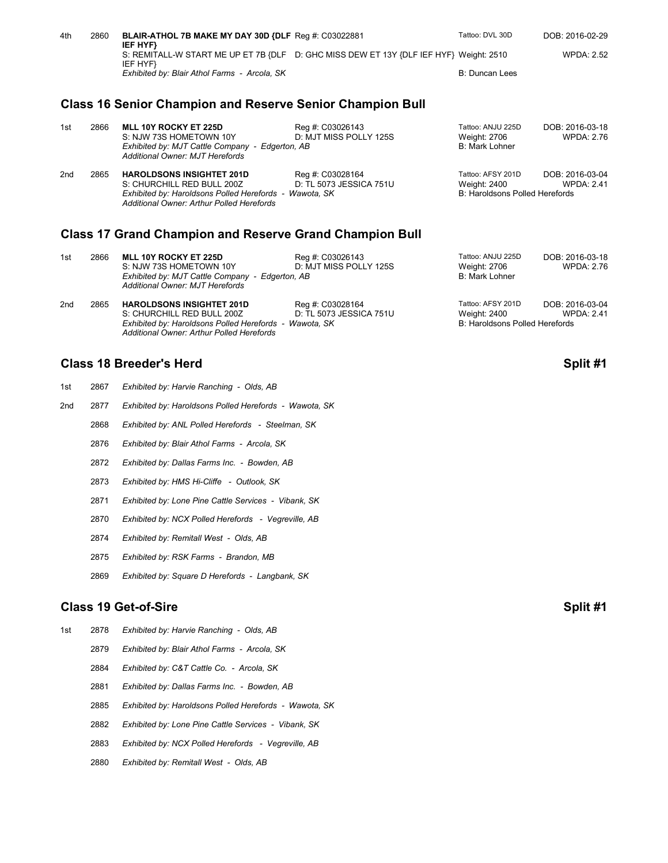| 4th | 2860 | BLAIR-ATHOL 7B MAKE MY DAY 30D {DLF Req #: C03022881<br>IEF HYF}                                   | Tattoo: DVL 30D | DOB: 2016-02-29   |
|-----|------|----------------------------------------------------------------------------------------------------|-----------------|-------------------|
|     |      | S: REMITALL-W START ME UP ET 7B {DLF D: GHC MISS DEW ET 13Y {DLF IEF HYF} Weight: 2510<br>IEF HYF} |                 | <b>WPDA: 2.52</b> |
|     |      | Exhibited by: Blair Athol Farms - Arcola, SK                                                       | B: Duncan Lees  |                   |

## **Class 16 Senior Champion and Reserve Senior Champion Bull**

| 1st             | 2866 | MLL 10Y ROCKY ET 225D<br>S: NJW 73S HOMETOWN 10Y<br>Exhibited by: MJT Cattle Company - Edgerton, AB<br>Additional Owner: MJT Herefords                                | Reg #: C03026143<br>D: MJT MISS POLLY 125S  | Tattoo: ANJU 225D<br>Weight: 2706<br>B: Mark Lohner                 | DOB: 2016-03-18<br>WPDA: 2.76        |
|-----------------|------|-----------------------------------------------------------------------------------------------------------------------------------------------------------------------|---------------------------------------------|---------------------------------------------------------------------|--------------------------------------|
| 2 <sub>nd</sub> | 2865 | <b>HAROLDSONS INSIGHTET 201D</b><br>S: CHURCHILL RED BULL 200Z<br>Exhibited by: Haroldsons Polled Herefords - Wawota, SK<br>Additional Owner: Arthur Polled Herefords | Reg #: C03028164<br>D: TL 5073 JESSICA 751U | Tattoo: AFSY 201D<br>Weight: 2400<br>B: Haroldsons Polled Herefords | DOB: 2016-03-04<br><b>WPDA: 2.41</b> |

### **Class 17 Grand Champion and Reserve Grand Champion Bull**

| 1st             | 2866 | <b>MLL 10Y ROCKY ET 225D</b><br>S: NJW 73S HOMETOWN 10Y<br>Exhibited by: MJT Cattle Company - Edgerton, AB<br>Additional Owner: MJT Herefords | Reg #: C03026143<br>D: MJT MISS POLLY 125S  | Tattoo: ANJU 225D<br>Weight: 2706<br>B: Mark Lohner                 | DOB: 2016-03-18<br>WPDA: 2.76        |
|-----------------|------|-----------------------------------------------------------------------------------------------------------------------------------------------|---------------------------------------------|---------------------------------------------------------------------|--------------------------------------|
| 2 <sub>nd</sub> | 2865 | <b>HAROLDSONS INSIGHTET 201D</b><br>S: CHURCHILL RED BULL 200Z<br>Exhibited by: Haroldsons Polled Herefords - Wawota, SK                      | Reg #: C03028164<br>D: TL 5073 JESSICA 751U | Tattoo: AFSY 201D<br>Weight: 2400<br>B: Haroldsons Polled Herefords | DOB: 2016-03-04<br><b>WPDA: 2.41</b> |

### **Class 18 Breeder's Herd Split #1** Split #1

| 1st | 2867 | Exhibited by: Harvie Ranching - Olds, AB               |          |
|-----|------|--------------------------------------------------------|----------|
| 2nd | 2877 | Exhibited by: Haroldsons Polled Herefords - Wawota, SK |          |
|     | 2868 | Exhibited by: ANL Polled Herefords - Steelman, SK      |          |
|     | 2876 | Exhibited by: Blair Athol Farms - Arcola, SK           |          |
|     | 2872 | Exhibited by: Dallas Farms Inc. - Bowden, AB           |          |
|     | 2873 | Exhibited by: HMS Hi-Cliffe - Outlook, SK              |          |
|     | 2871 | Exhibited by: Lone Pine Cattle Services - Vibank, SK   |          |
|     | 2870 | Exhibited by: NCX Polled Herefords - Vegreville, AB    |          |
|     | 2874 | Exhibited by: Remitall West - Olds, AB                 |          |
|     | 2875 | Exhibited by: RSK Farms - Brandon, MB                  |          |
|     | 2869 | Exhibited by: Square D Herefords - Langbank, SK        |          |
|     |      | <b>Class 19 Get-of-Sire</b>                            | Split #1 |
| 1st | 2878 | Exhibited by: Harvie Ranching - Olds, AB               |          |

*Additional Owner: Arthur Polled Herefords*

- 2879 *Exhibited by: Blair Athol Farms Arcola, SK*
- 2884 *Exhibited by: C&T Cattle Co. Arcola, SK*
- 2881 *Exhibited by: Dallas Farms Inc. Bowden, AB*
- 2885 *Exhibited by: Haroldsons Polled Herefords Wawota, SK*
- 2882 *Exhibited by: Lone Pine Cattle Services Vibank, SK*
- 2883 *Exhibited by: NCX Polled Herefords Vegreville, AB*
- 2880 *Exhibited by: Remitall West Olds, AB*